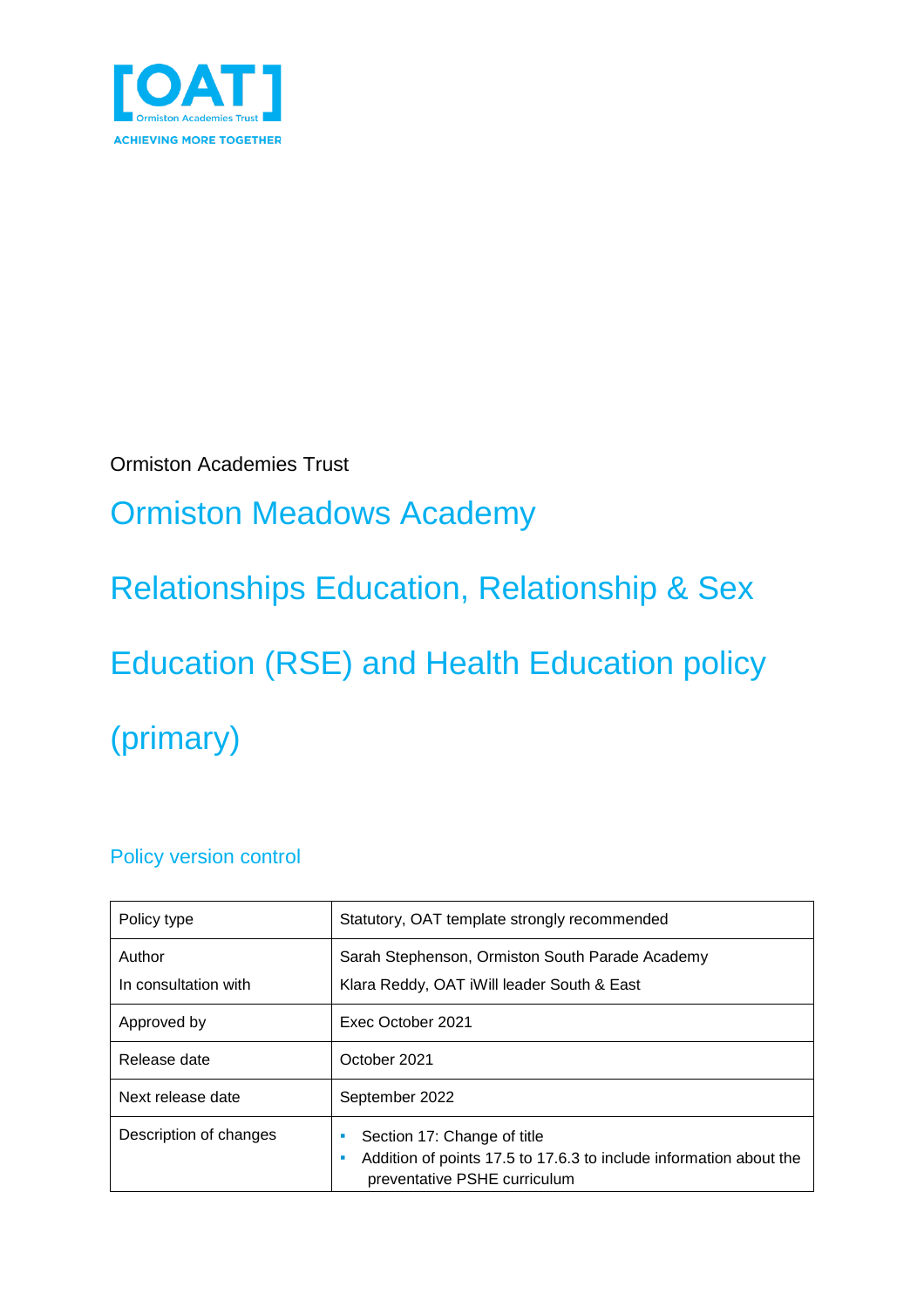

Ormiston Academies Trust

# Ormiston Meadows Academy

Relationships Education, Relationship & Sex

Education (RSE) and Health Education policy (primary)

### Policy version control

| Policy type                    | Statutory, OAT template strongly recommended                                                                                      |
|--------------------------------|-----------------------------------------------------------------------------------------------------------------------------------|
| Author<br>In consultation with | Sarah Stephenson, Ormiston South Parade Academy<br>Klara Reddy, OAT iWill leader South & East                                     |
| Approved by                    | Exec October 2021                                                                                                                 |
| Release date                   | October 2021                                                                                                                      |
| Next release date              | September 2022                                                                                                                    |
| Description of changes         | Section 17: Change of title<br>Addition of points 17.5 to 17.6.3 to include information about the<br>preventative PSHE curriculum |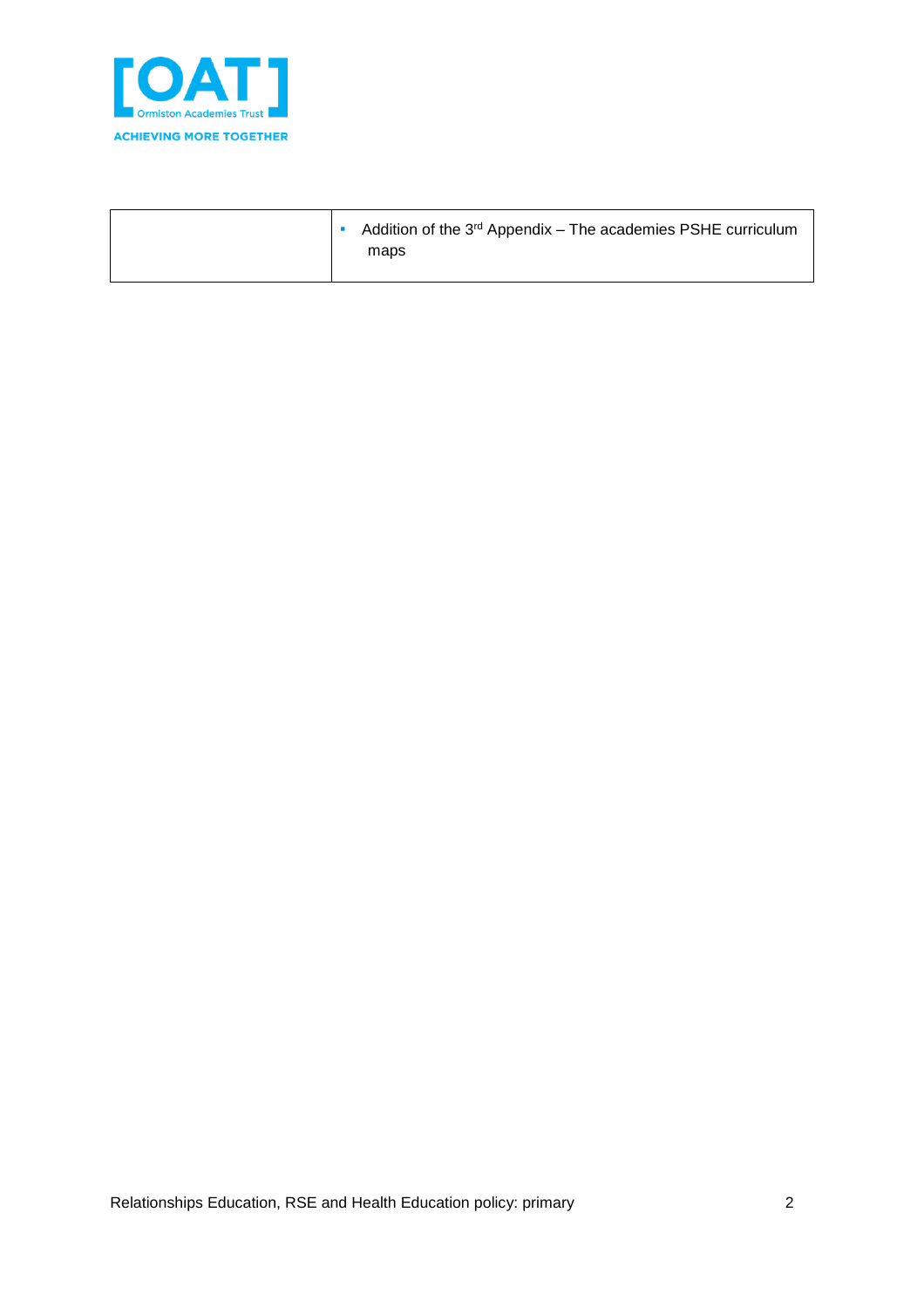

| Addition of the 3 <sup>rd</sup> Appendix - The academies PSHE curriculum<br>maps |
|----------------------------------------------------------------------------------|
|                                                                                  |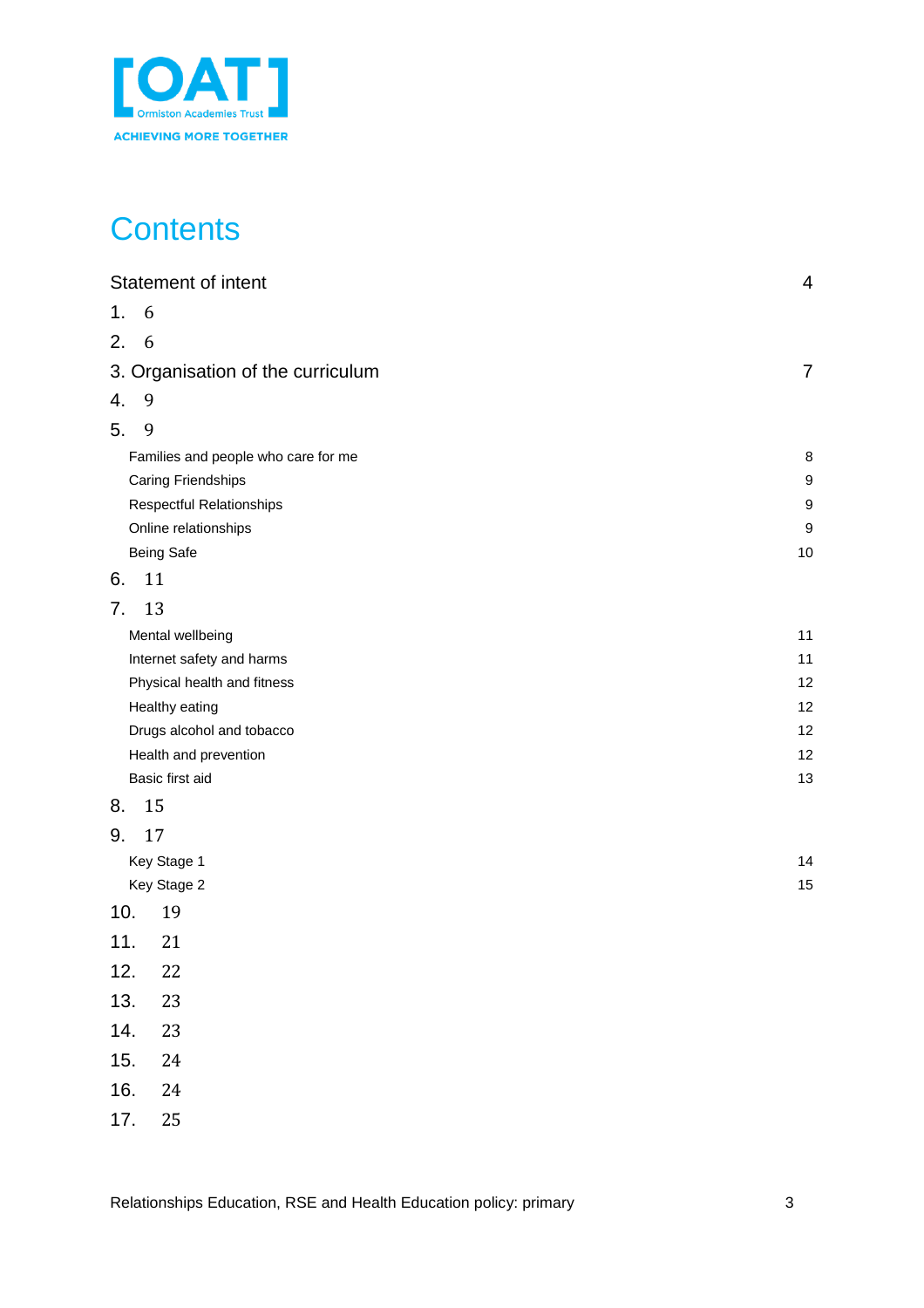

# **Contents**

|    | Statement of intent                 | 4                |
|----|-------------------------------------|------------------|
| 1. | 6                                   |                  |
| 2. | 6                                   |                  |
|    | 3. Organisation of the curriculum   | $\overline{7}$   |
| 4. | 9                                   |                  |
| 5. | 9                                   |                  |
|    | Families and people who care for me | 8                |
|    | <b>Caring Friendships</b>           | 9                |
|    | Respectful Relationships            | $\boldsymbol{9}$ |
|    | Online relationships                | $\boldsymbol{9}$ |
|    | <b>Being Safe</b>                   | 10               |
| 6. | 11                                  |                  |
| 7. | 13                                  |                  |
|    | Mental wellbeing                    | 11               |
|    | Internet safety and harms           | 11               |
|    | Physical health and fitness         | 12               |
|    | Healthy eating                      | 12               |
|    | Drugs alcohol and tobacco           | 12               |
|    | Health and prevention               | 12               |
|    | Basic first aid                     | 13               |
| 8. | 15                                  |                  |
| 9. | 17                                  |                  |
|    | Key Stage 1                         | 14               |
|    | Key Stage 2                         | 15               |
|    | 10.<br>19                           |                  |
|    | 11.<br>21                           |                  |
|    | 22<br>12.                           |                  |
|    | 13.<br>23                           |                  |
|    | 14.<br>23                           |                  |
|    | 15.<br>24                           |                  |
|    | 16.<br>24                           |                  |
|    | 17.<br>25                           |                  |
|    |                                     |                  |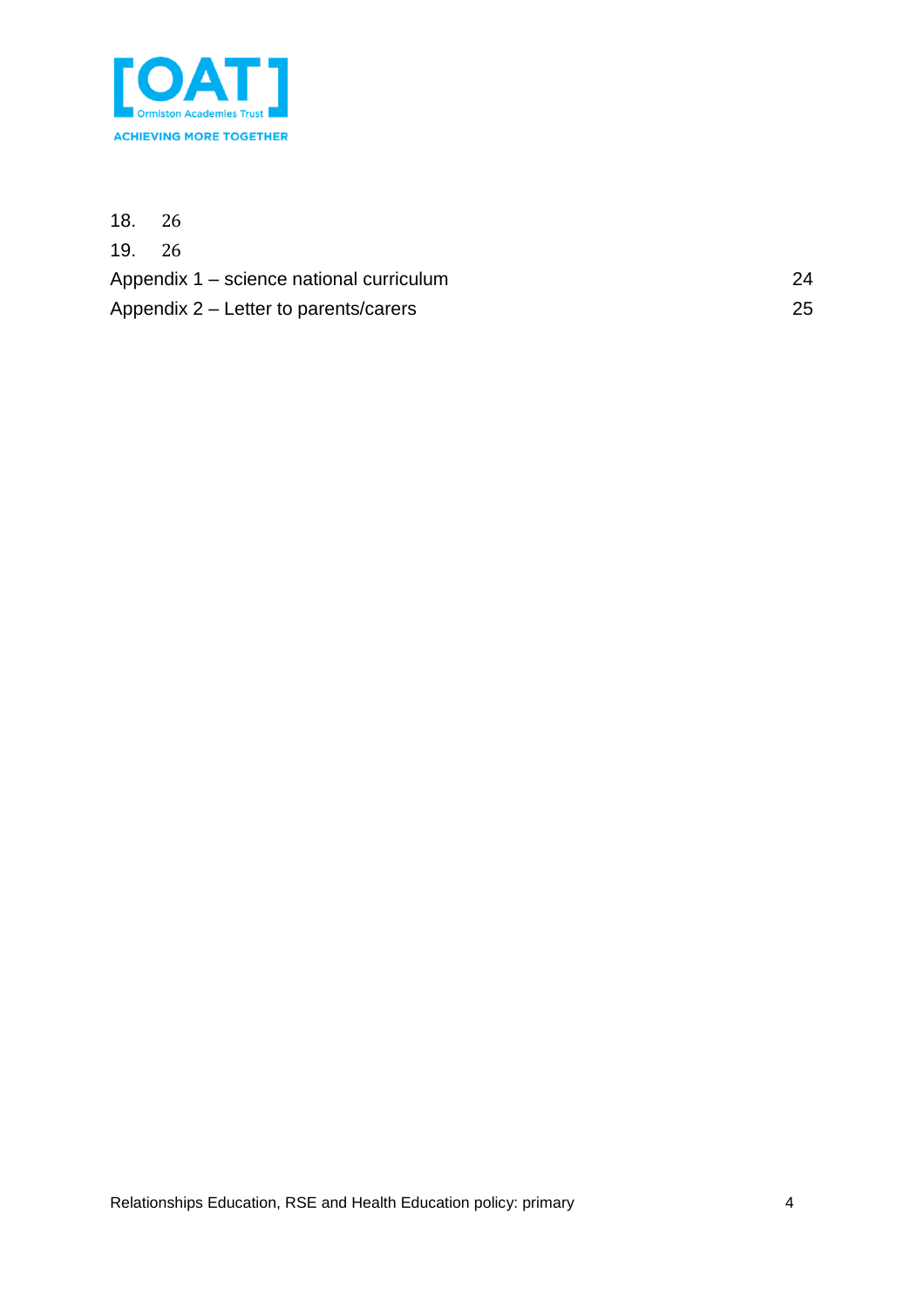

<span id="page-3-0"></span>

| 18. | -26                                      |    |
|-----|------------------------------------------|----|
|     | 19. 26                                   |    |
|     | Appendix 1 – science national curriculum | 24 |
|     | Appendix 2 – Letter to parents/carers    | 25 |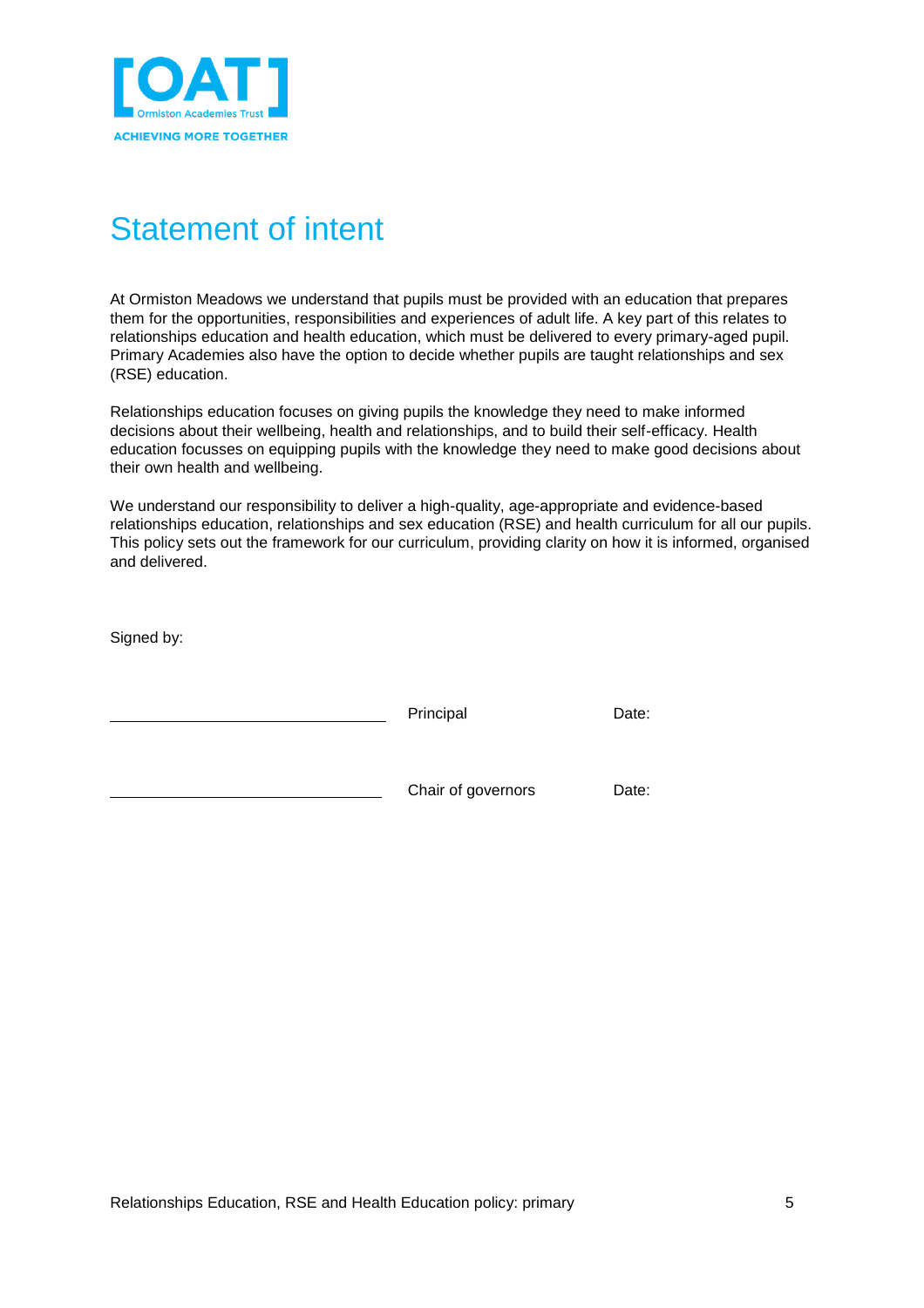

## Statement of intent

At Ormiston Meadows we understand that pupils must be provided with an education that prepares them for the opportunities, responsibilities and experiences of adult life. A key part of this relates to relationships education and health education, which must be delivered to every primary-aged pupil. Primary Academies also have the option to decide whether pupils are taught relationships and sex (RSE) education.

Relationships education focuses on giving pupils the knowledge they need to make informed decisions about their wellbeing, health and relationships, and to build their self-efficacy. Health education focusses on equipping pupils with the knowledge they need to make good decisions about their own health and wellbeing.

We understand our responsibility to deliver a high-quality, age-appropriate and evidence-based relationships education, relationships and sex education (RSE) and health curriculum for all our pupils. This policy sets out the framework for our curriculum, providing clarity on how it is informed, organised and delivered.

Signed by:

| Principal          | Date: |
|--------------------|-------|
| Chair of governors | Date: |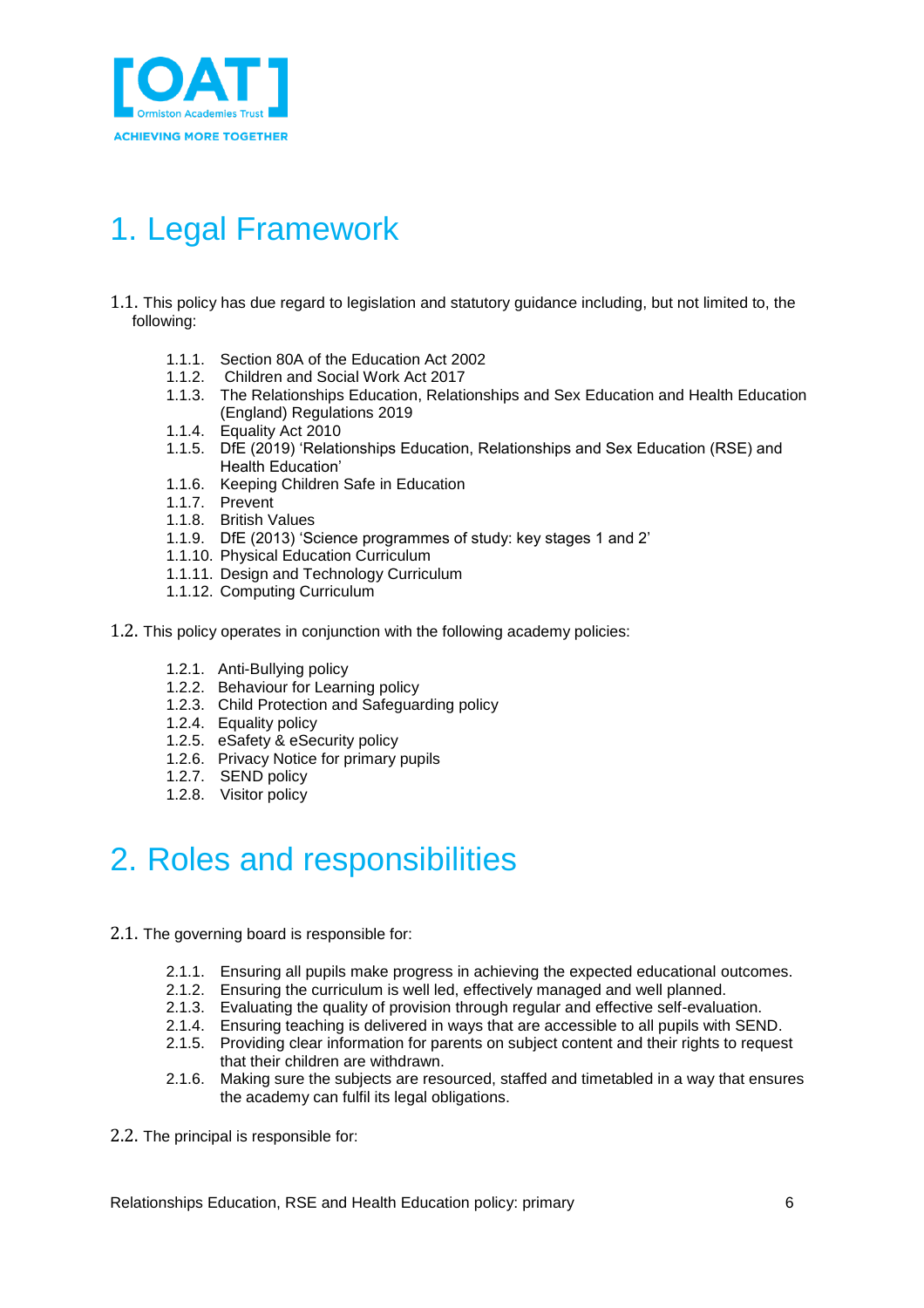

## <span id="page-5-0"></span>1. Legal Framework

- 1.1. This policy has due regard to legislation and statutory guidance including, but not limited to, the following:
	- 1.1.1. Section 80A of the Education Act 2002
	- 1.1.2. Children and Social Work Act 2017
	- 1.1.3. The Relationships Education, Relationships and Sex Education and Health Education (England) Regulations 2019
	- 1.1.4. Equality Act 2010
	- 1.1.5. DfE (2019) 'Relationships Education, Relationships and Sex Education (RSE) and Health Education'
	- 1.1.6. Keeping Children Safe in Education
	- 1.1.7. Prevent
	- 1.1.8. British Values
	- 1.1.9. DfE (2013) 'Science programmes of study: key stages 1 and 2'
	- 1.1.10. Physical Education Curriculum
	- 1.1.11. Design and Technology Curriculum
	- 1.1.12. Computing Curriculum
- 1.2. This policy operates in conjunction with the following academy policies:
	- 1.2.1. Anti-Bullying policy
	- 1.2.2. Behaviour for Learning policy
	- 1.2.3. Child Protection and Safeguarding policy
	- 1.2.4. Equality policy
	- 1.2.5. eSafety & eSecurity policy
	- 1.2.6. Privacy Notice for primary pupils
	- 1.2.7. SEND policy
	- 1.2.8. Visitor policy

## <span id="page-5-1"></span>2. Roles and responsibilities

- 2.1. The governing board is responsible for:
	- 2.1.1. Ensuring all pupils make progress in achieving the expected educational outcomes.
	- 2.1.2. Ensuring the curriculum is well led, effectively managed and well planned.
	- 2.1.3. Evaluating the quality of provision through regular and effective self-evaluation.
	- 2.1.4. Ensuring teaching is delivered in ways that are accessible to all pupils with SEND.
	- 2.1.5. Providing clear information for parents on subject content and their rights to request that their children are withdrawn.
	- 2.1.6. Making sure the subjects are resourced, staffed and timetabled in a way that ensures the academy can fulfil its legal obligations.
- 2.2. The principal is responsible for: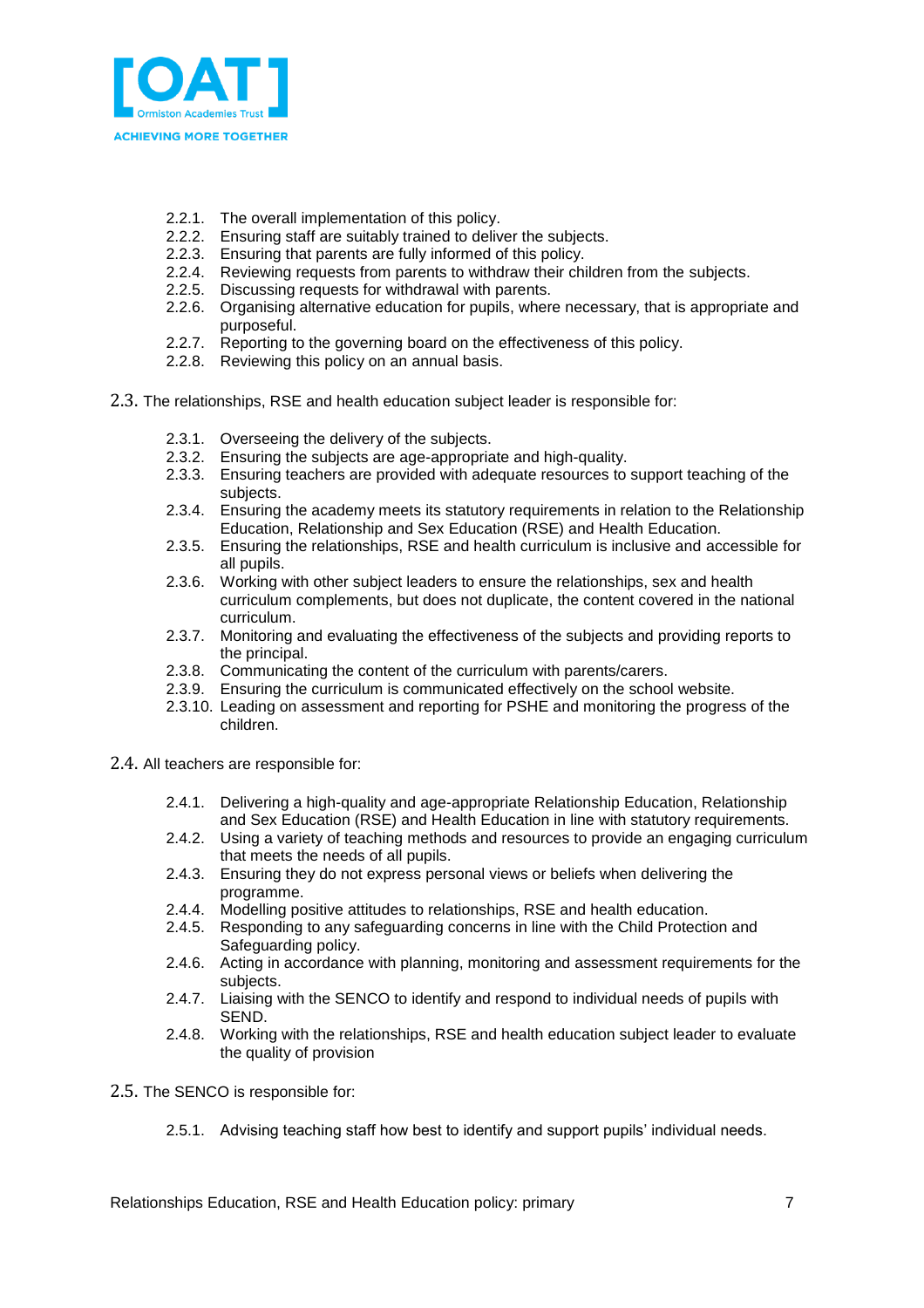

- 2.2.1. The overall implementation of this policy.
- 2.2.2. Ensuring staff are suitably trained to deliver the subjects.
- 2.2.3. Ensuring that parents are fully informed of this policy.
- 2.2.4. Reviewing requests from parents to withdraw their children from the subjects.
- 2.2.5. Discussing requests for withdrawal with parents.
- 2.2.6. Organising alternative education for pupils, where necessary, that is appropriate and purposeful.
- 2.2.7. Reporting to the governing board on the effectiveness of this policy.
- 2.2.8. Reviewing this policy on an annual basis.
- 2.3. The relationships, RSE and health education subject leader is responsible for:
	- 2.3.1. Overseeing the delivery of the subjects.
	- 2.3.2. Ensuring the subjects are age-appropriate and high-quality.
	- 2.3.3. Ensuring teachers are provided with adequate resources to support teaching of the subjects.
	- 2.3.4. Ensuring the academy meets its statutory requirements in relation to the Relationship Education, Relationship and Sex Education (RSE) and Health Education.
	- 2.3.5. Ensuring the relationships, RSE and health curriculum is inclusive and accessible for all pupils.
	- 2.3.6. Working with other subject leaders to ensure the relationships, sex and health curriculum complements, but does not duplicate, the content covered in the national curriculum.
	- 2.3.7. Monitoring and evaluating the effectiveness of the subjects and providing reports to the principal.
	- 2.3.8. Communicating the content of the curriculum with parents/carers.
	- 2.3.9. Ensuring the curriculum is communicated effectively on the school website.
	- 2.3.10. Leading on assessment and reporting for PSHE and monitoring the progress of the children.
- 2.4. All teachers are responsible for:
	- 2.4.1. Delivering a high-quality and age-appropriate Relationship Education, Relationship and Sex Education (RSE) and Health Education in line with statutory requirements.
	- 2.4.2. Using a variety of teaching methods and resources to provide an engaging curriculum that meets the needs of all pupils.
	- 2.4.3. Ensuring they do not express personal views or beliefs when delivering the programme.
	- 2.4.4. Modelling positive attitudes to relationships, RSE and health education.
	- 2.4.5. Responding to any safeguarding concerns in line with the Child Protection and Safeguarding policy.
	- 2.4.6. Acting in accordance with planning, monitoring and assessment requirements for the subjects.
	- 2.4.7. Liaising with the SENCO to identify and respond to individual needs of pupils with SEND.
	- 2.4.8. Working with the relationships, RSE and health education subject leader to evaluate the quality of provision
- 2.5. The SENCO is responsible for:
	- 2.5.1. Advising teaching staff how best to identify and support pupils' individual needs.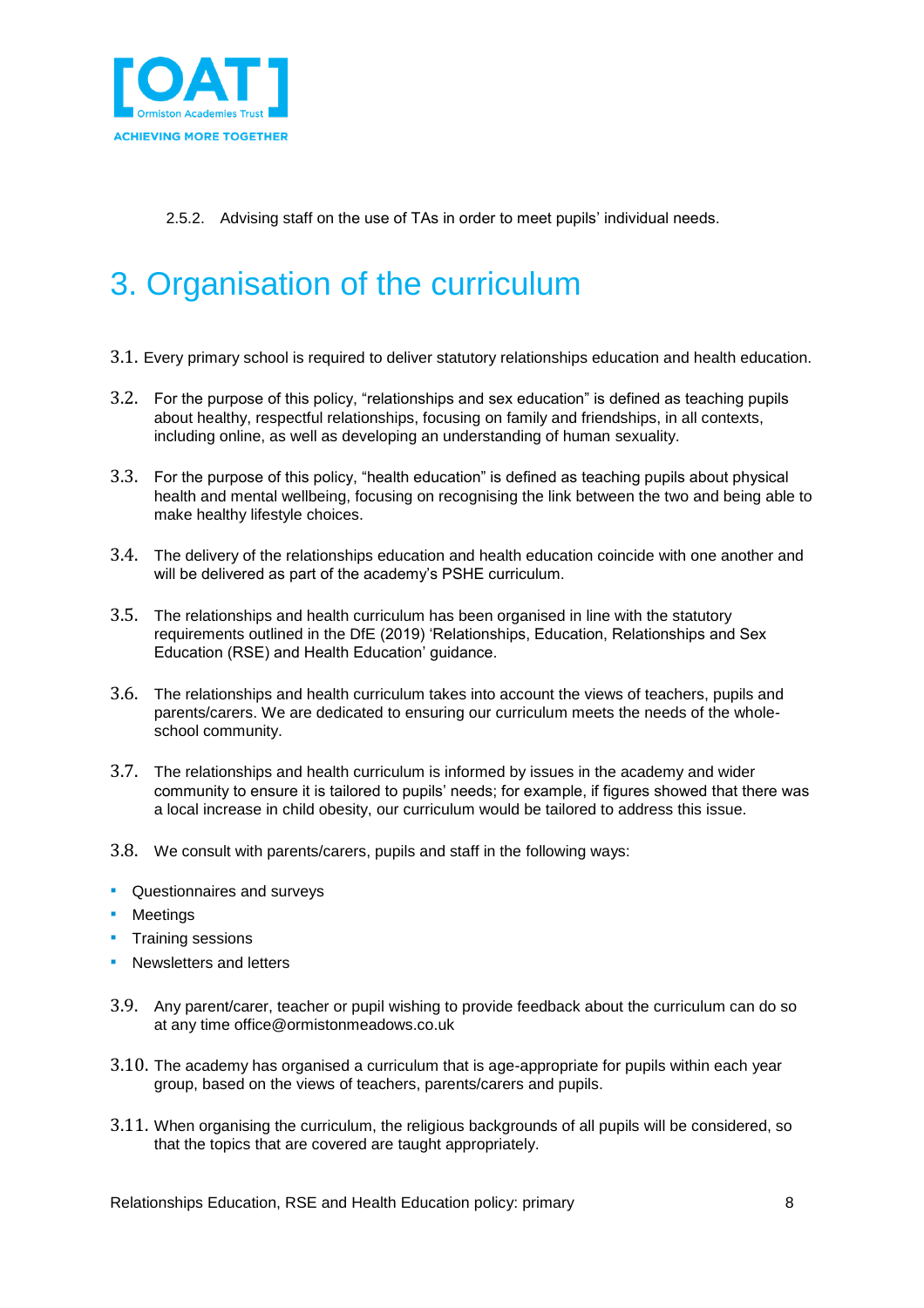

2.5.2. Advising staff on the use of TAs in order to meet pupils' individual needs.

# <span id="page-7-0"></span>3. Organisation of the curriculum

- 3.1. Every primary school is required to deliver statutory relationships education and health education.
- 3.2. For the purpose of this policy, "relationships and sex education" is defined as teaching pupils about healthy, respectful relationships, focusing on family and friendships, in all contexts, including online, as well as developing an understanding of human sexuality.
- 3.3. For the purpose of this policy, "health education" is defined as teaching pupils about physical health and mental wellbeing, focusing on recognising the link between the two and being able to make healthy lifestyle choices.
- 3.4. The delivery of the relationships education and health education coincide with one another and will be delivered as part of the academy's PSHE curriculum.
- 3.5. The relationships and health curriculum has been organised in line with the statutory requirements outlined in the DfE (2019) 'Relationships, Education, Relationships and Sex Education (RSE) and Health Education' guidance.
- 3.6. The relationships and health curriculum takes into account the views of teachers, pupils and parents/carers. We are dedicated to ensuring our curriculum meets the needs of the wholeschool community.
- 3.7. The relationships and health curriculum is informed by issues in the academy and wider community to ensure it is tailored to pupils' needs; for example, if figures showed that there was a local increase in child obesity, our curriculum would be tailored to address this issue.
- 3.8. We consult with parents/carers, pupils and staff in the following ways:
- **•** Questionnaires and surveys
- **•** Meetings
- **Training sessions**
- **E** Newsletters and letters
- 3.9. Any parent/carer, teacher or pupil wishing to provide feedback about the curriculum can do so at any time office@ormistonmeadows.co.uk
- 3.10. The academy has organised a curriculum that is age-appropriate for pupils within each year group, based on the views of teachers, parents/carers and pupils.
- 3.11. When organising the curriculum, the religious backgrounds of all pupils will be considered, so that the topics that are covered are taught appropriately.

Relationships Education, RSE and Health Education policy: primary and the state of 8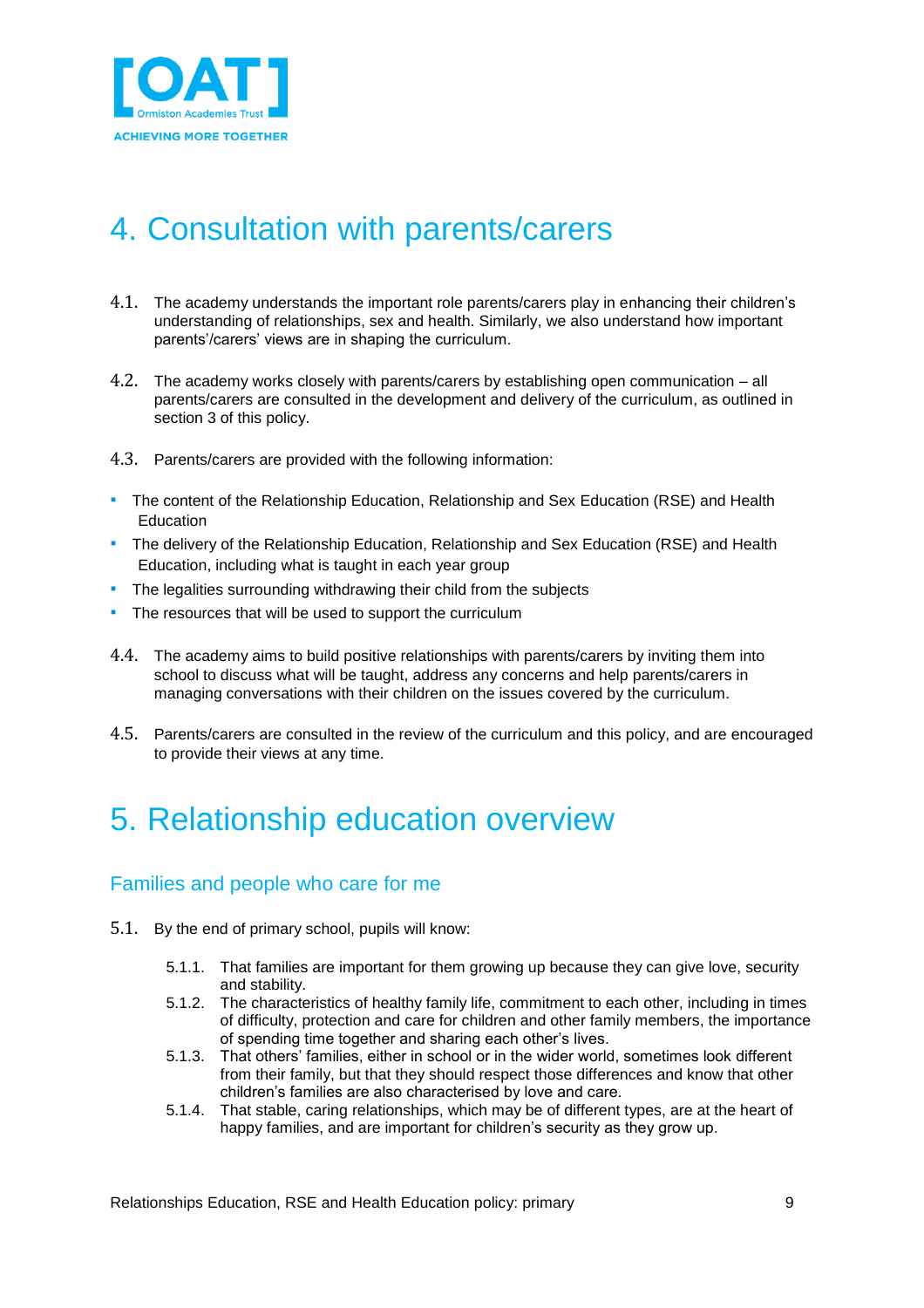

## <span id="page-8-0"></span>4. Consultation with parents/carers

- 4.1. The academy understands the important role parents/carers play in enhancing their children's understanding of relationships, sex and health. Similarly, we also understand how important parents'/carers' views are in shaping the curriculum.
- 4.2. The academy works closely with parents/carers by establishing open communication all parents/carers are consulted in the development and delivery of the curriculum, as outlined in section 3 of this policy.
- 4.3. Parents/carers are provided with the following information:
- **The content of the Relationship Education, Relationship and Sex Education (RSE) and Health** Education
- **•** The delivery of the Relationship Education, Relationship and Sex Education (RSE) and Health Education, including what is taught in each year group
- The legalities surrounding withdrawing their child from the subjects
- **The resources that will be used to support the curriculum**
- 4.4. The academy aims to build positive relationships with parents/carers by inviting them into school to discuss what will be taught, address any concerns and help parents/carers in managing conversations with their children on the issues covered by the curriculum.
- 4.5. Parents/carers are consulted in the review of the curriculum and this policy, and are encouraged to provide their views at any time.

### <span id="page-8-1"></span>5. Relationship education overview

### <span id="page-8-2"></span>Families and people who care for me

- 5.1. By the end of primary school, pupils will know:
	- 5.1.1. That families are important for them growing up because they can give love, security and stability.
	- 5.1.2. The characteristics of healthy family life, commitment to each other, including in times of difficulty, protection and care for children and other family members, the importance of spending time together and sharing each other's lives.
	- 5.1.3. That others' families, either in school or in the wider world, sometimes look different from their family, but that they should respect those differences and know that other children's families are also characterised by love and care.
	- 5.1.4. That stable, caring relationships, which may be of different types, are at the heart of happy families, and are important for children's security as they grow up.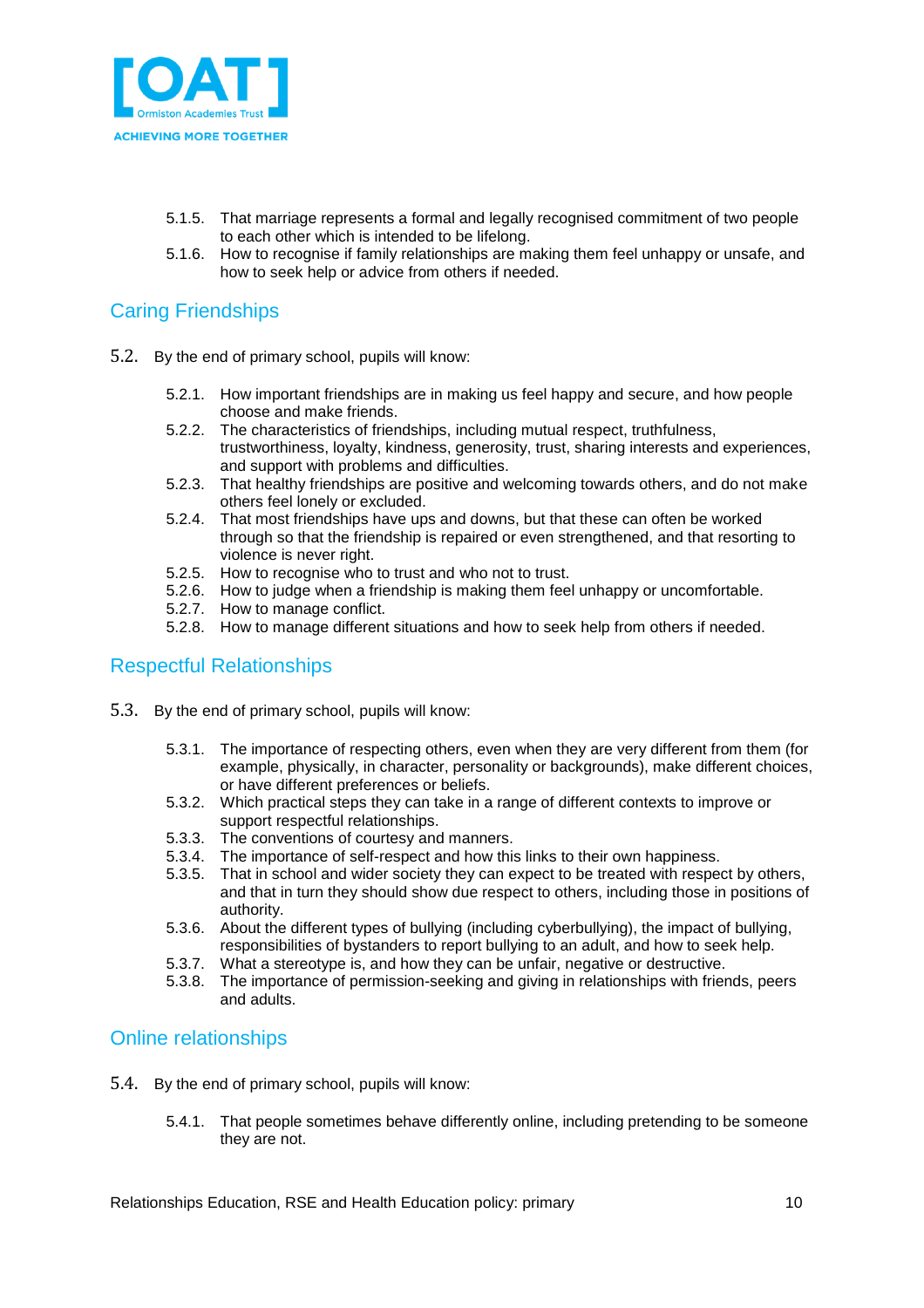

- 5.1.5. That marriage represents a formal and legally recognised commitment of two people to each other which is intended to be lifelong.
- 5.1.6. How to recognise if family relationships are making them feel unhappy or unsafe, and how to seek help or advice from others if needed.

### <span id="page-9-0"></span>Caring Friendships

- 5.2. By the end of primary school, pupils will know:
	- 5.2.1. How important friendships are in making us feel happy and secure, and how people choose and make friends.
	- 5.2.2. The characteristics of friendships, including mutual respect, truthfulness, trustworthiness, loyalty, kindness, generosity, trust, sharing interests and experiences, and support with problems and difficulties.
	- 5.2.3. That healthy friendships are positive and welcoming towards others, and do not make others feel lonely or excluded.
	- 5.2.4. That most friendships have ups and downs, but that these can often be worked through so that the friendship is repaired or even strengthened, and that resorting to violence is never right.
	- 5.2.5. How to recognise who to trust and who not to trust.
	- 5.2.6. How to judge when a friendship is making them feel unhappy or uncomfortable.
	- 5.2.7. How to manage conflict.
	- 5.2.8. How to manage different situations and how to seek help from others if needed.

### <span id="page-9-1"></span>Respectful Relationships

- 5.3. By the end of primary school, pupils will know:
	- 5.3.1. The importance of respecting others, even when they are very different from them (for example, physically, in character, personality or backgrounds), make different choices, or have different preferences or beliefs.
	- 5.3.2. Which practical steps they can take in a range of different contexts to improve or support respectful relationships.
	- 5.3.3. The conventions of courtesy and manners.
	- 5.3.4. The importance of self-respect and how this links to their own happiness.
	- 5.3.5. That in school and wider society they can expect to be treated with respect by others, and that in turn they should show due respect to others, including those in positions of authority.
	- 5.3.6. About the different types of bullying (including cyberbullying), the impact of bullying, responsibilities of bystanders to report bullying to an adult, and how to seek help.
	- 5.3.7. What a stereotype is, and how they can be unfair, negative or destructive.
	- 5.3.8. The importance of permission-seeking and giving in relationships with friends, peers and adults.

### <span id="page-9-2"></span>Online relationships

- 5.4. By the end of primary school, pupils will know:
	- 5.4.1. That people sometimes behave differently online, including pretending to be someone they are not.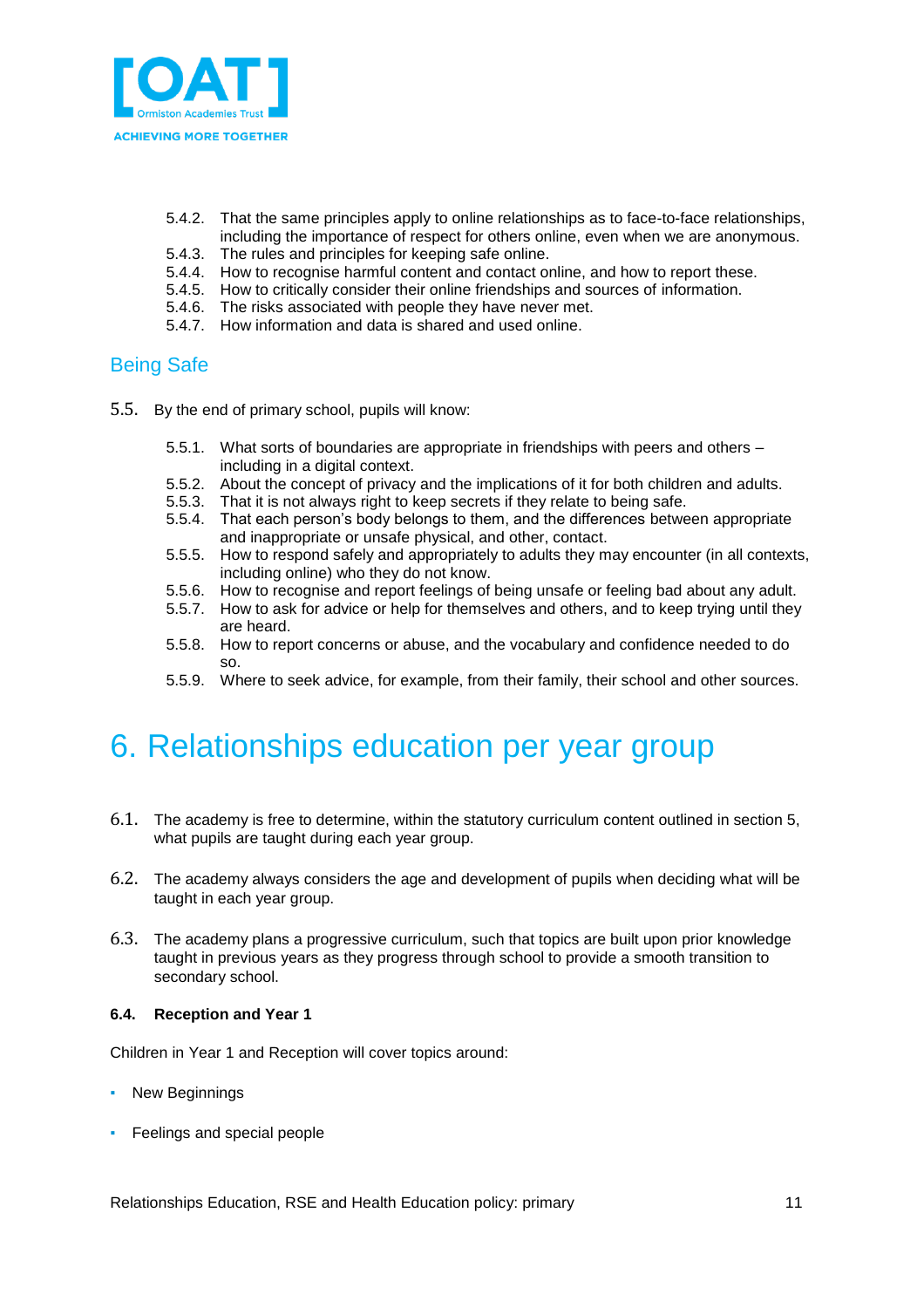

- 5.4.2. That the same principles apply to online relationships as to face-to-face relationships, including the importance of respect for others online, even when we are anonymous.
- 5.4.3. The rules and principles for keeping safe online.
- 5.4.4. How to recognise harmful content and contact online, and how to report these.
- 5.4.5. How to critically consider their online friendships and sources of information.
- 5.4.6. The risks associated with people they have never met.
- 5.4.7. How information and data is shared and used online.

### <span id="page-10-0"></span>Being Safe

- 5.5. By the end of primary school, pupils will know:
	- 5.5.1. What sorts of boundaries are appropriate in friendships with peers and others including in a digital context.
	- 5.5.2. About the concept of privacy and the implications of it for both children and adults.
	- 5.5.3. That it is not always right to keep secrets if they relate to being safe.
	- 5.5.4. That each person's body belongs to them, and the differences between appropriate and inappropriate or unsafe physical, and other, contact.
	- 5.5.5. How to respond safely and appropriately to adults they may encounter (in all contexts, including online) who they do not know.
	- 5.5.6. How to recognise and report feelings of being unsafe or feeling bad about any adult.
	- 5.5.7. How to ask for advice or help for themselves and others, and to keep trying until they are heard.
	- 5.5.8. How to report concerns or abuse, and the vocabulary and confidence needed to do so.
	- 5.5.9. Where to seek advice, for example, from their family, their school and other sources.

### <span id="page-10-1"></span>6. Relationships education per year group

- 6.1. The academy is free to determine, within the statutory curriculum content outlined in section 5, what pupils are taught during each year group.
- 6.2. The academy always considers the age and development of pupils when deciding what will be taught in each year group.
- 6.3. The academy plans a progressive curriculum, such that topics are built upon prior knowledge taught in previous years as they progress through school to provide a smooth transition to secondary school.

#### **6.4. Reception and Year 1**

Children in Year 1 and Reception will cover topics around:

- New Beginnings
- **•** Feelings and special people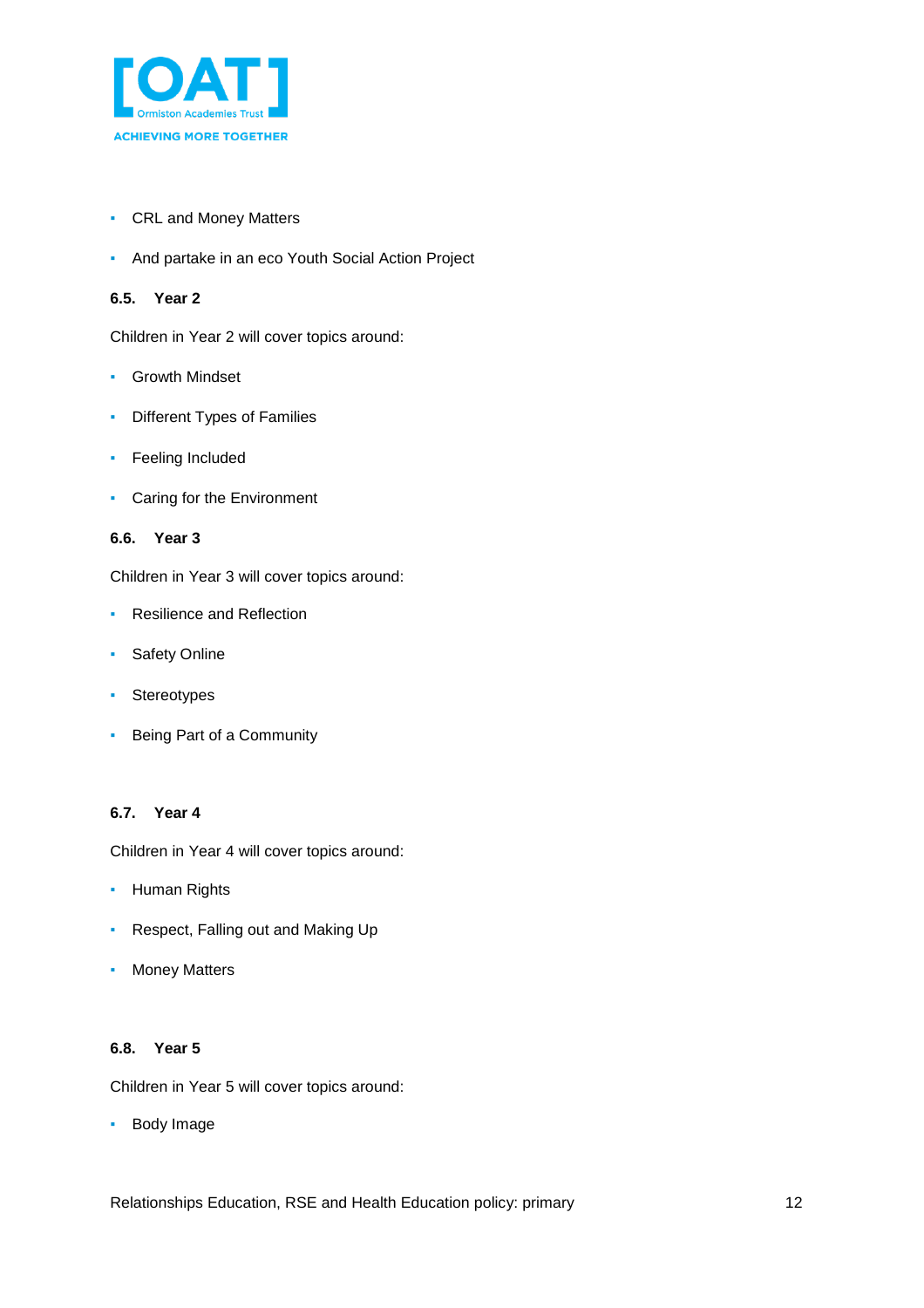

- CRL and Money Matters
- **And partake in an eco Youth Social Action Project**

#### **6.5. Year 2**

Children in Year 2 will cover topics around:

- Growth Mindset
- Different Types of Families
- **•** Feeling Included
- Caring for the Environment

#### **6.6. Year 3**

Children in Year 3 will cover topics around:

- Resilience and Reflection
- **•** Safety Online
- Stereotypes
- Being Part of a Community

#### **6.7. Year 4**

Children in Year 4 will cover topics around:

- Human Rights
- Respect, Falling out and Making Up
- Money Matters

#### **6.8. Year 5**

Children in Year 5 will cover topics around:

▪ Body Image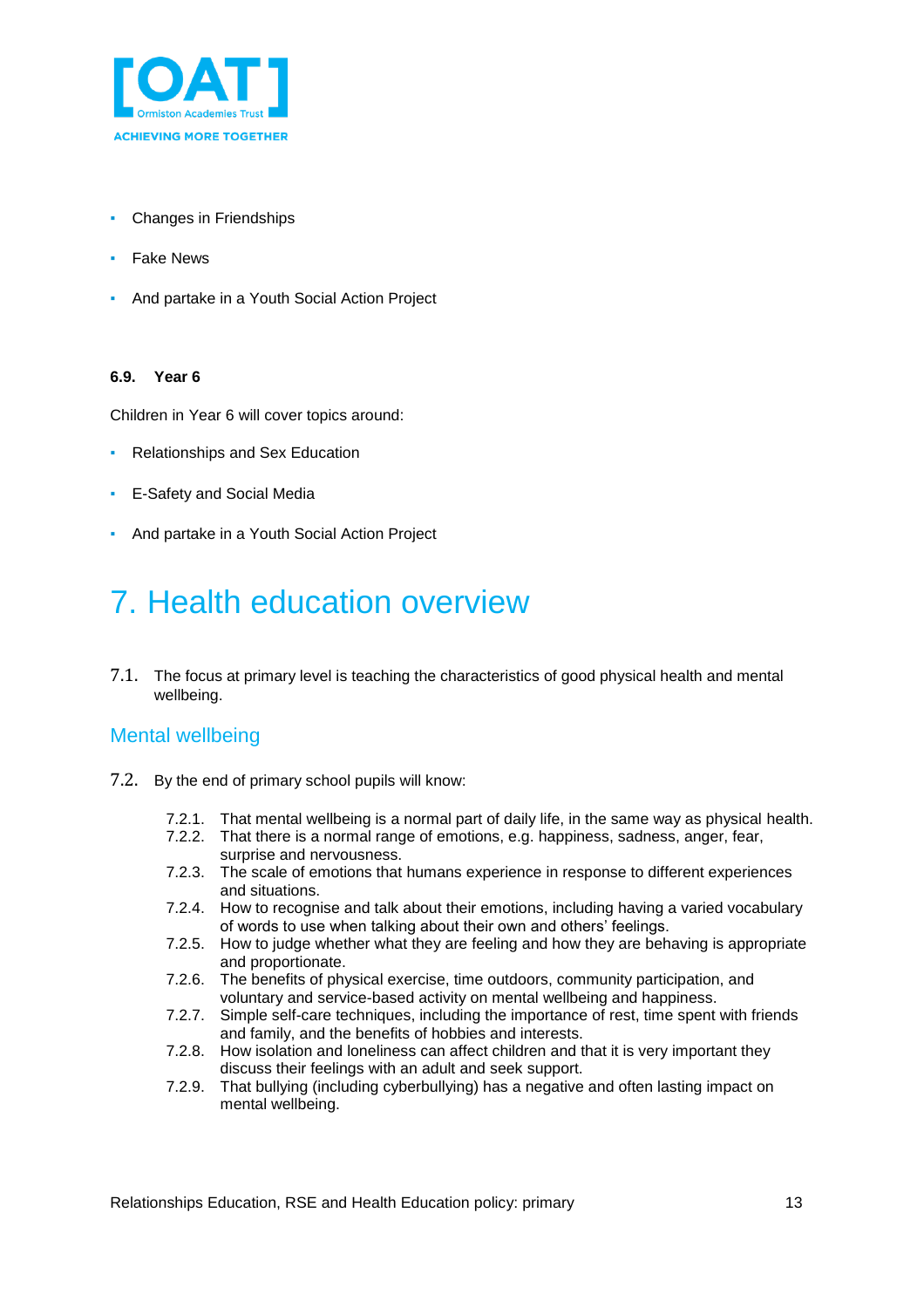

- **Changes in Friendships**
- Fake News
- And partake in a Youth Social Action Project

#### **6.9. Year 6**

Children in Year 6 will cover topics around:

- Relationships and Sex Education
- E-Safety and Social Media
- And partake in a Youth Social Action Project

## <span id="page-12-0"></span>7. Health education overview

7.1. The focus at primary level is teaching the characteristics of good physical health and mental wellbeing.

### <span id="page-12-1"></span>Mental wellbeing

- 7.2. By the end of primary school pupils will know:
	- 7.2.1. That mental wellbeing is a normal part of daily life, in the same way as physical health.
	- 7.2.2. That there is a normal range of emotions, e.g. happiness, sadness, anger, fear, surprise and nervousness.
	- 7.2.3. The scale of emotions that humans experience in response to different experiences and situations.
	- 7.2.4. How to recognise and talk about their emotions, including having a varied vocabulary of words to use when talking about their own and others' feelings.
	- 7.2.5. How to judge whether what they are feeling and how they are behaving is appropriate and proportionate.
	- 7.2.6. The benefits of physical exercise, time outdoors, community participation, and voluntary and service-based activity on mental wellbeing and happiness.
	- 7.2.7. Simple self-care techniques, including the importance of rest, time spent with friends and family, and the benefits of hobbies and interests.
	- 7.2.8. How isolation and loneliness can affect children and that it is very important they discuss their feelings with an adult and seek support.
	- 7.2.9. That bullying (including cyberbullying) has a negative and often lasting impact on mental wellbeing.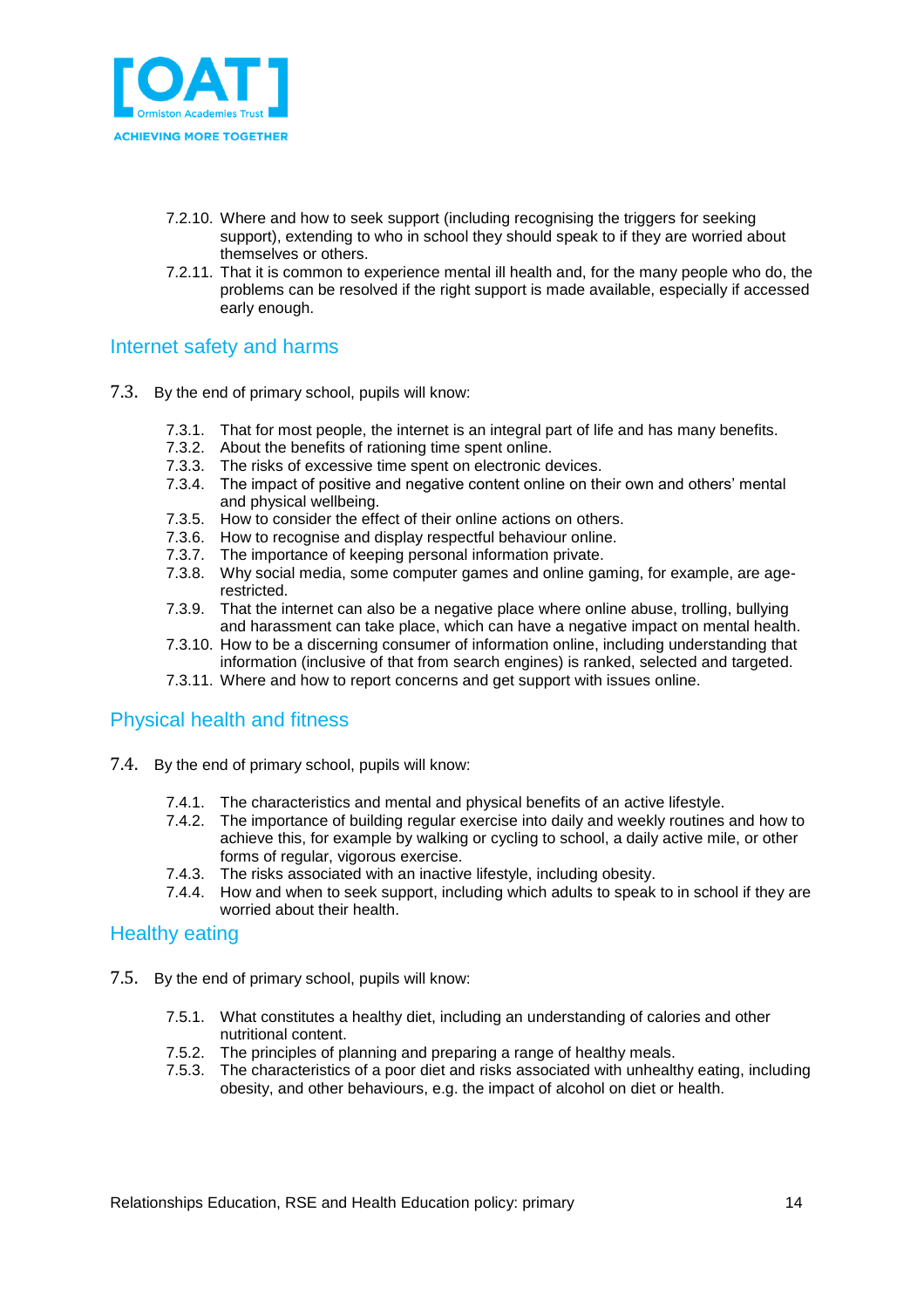

- 7.2.10. Where and how to seek support (including recognising the triggers for seeking support), extending to who in school they should speak to if they are worried about themselves or others.
- 7.2.11. That it is common to experience mental ill health and, for the many people who do, the problems can be resolved if the right support is made available, especially if accessed early enough.

### <span id="page-13-0"></span>Internet safety and harms

- 7.3. By the end of primary school, pupils will know:
	- 7.3.1. That for most people, the internet is an integral part of life and has many benefits.
	- 7.3.2. About the benefits of rationing time spent online.
	- 7.3.3. The risks of excessive time spent on electronic devices.
	- 7.3.4. The impact of positive and negative content online on their own and others' mental and physical wellbeing.
	- 7.3.5. How to consider the effect of their online actions on others.
	- 7.3.6. How to recognise and display respectful behaviour online.
	- 7.3.7. The importance of keeping personal information private.
	- 7.3.8. Why social media, some computer games and online gaming, for example, are agerestricted.
	- 7.3.9. That the internet can also be a negative place where online abuse, trolling, bullying and harassment can take place, which can have a negative impact on mental health.
	- 7.3.10. How to be a discerning consumer of information online, including understanding that information (inclusive of that from search engines) is ranked, selected and targeted.
	- 7.3.11. Where and how to report concerns and get support with issues online.

### <span id="page-13-1"></span>Physical health and fitness

- 7.4. By the end of primary school, pupils will know:
	- 7.4.1. The characteristics and mental and physical benefits of an active lifestyle.
	- 7.4.2. The importance of building regular exercise into daily and weekly routines and how to achieve this, for example by walking or cycling to school, a daily active mile, or other forms of regular, vigorous exercise.
	- 7.4.3. The risks associated with an inactive lifestyle, including obesity.
	- 7.4.4. How and when to seek support, including which adults to speak to in school if they are worried about their health.

#### <span id="page-13-2"></span>Healthy eating

- 7.5. By the end of primary school, pupils will know:
	- 7.5.1. What constitutes a healthy diet, including an understanding of calories and other nutritional content.
	- 7.5.2. The principles of planning and preparing a range of healthy meals.
	- 7.5.3. The characteristics of a poor diet and risks associated with unhealthy eating, including obesity, and other behaviours, e.g. the impact of alcohol on diet or health.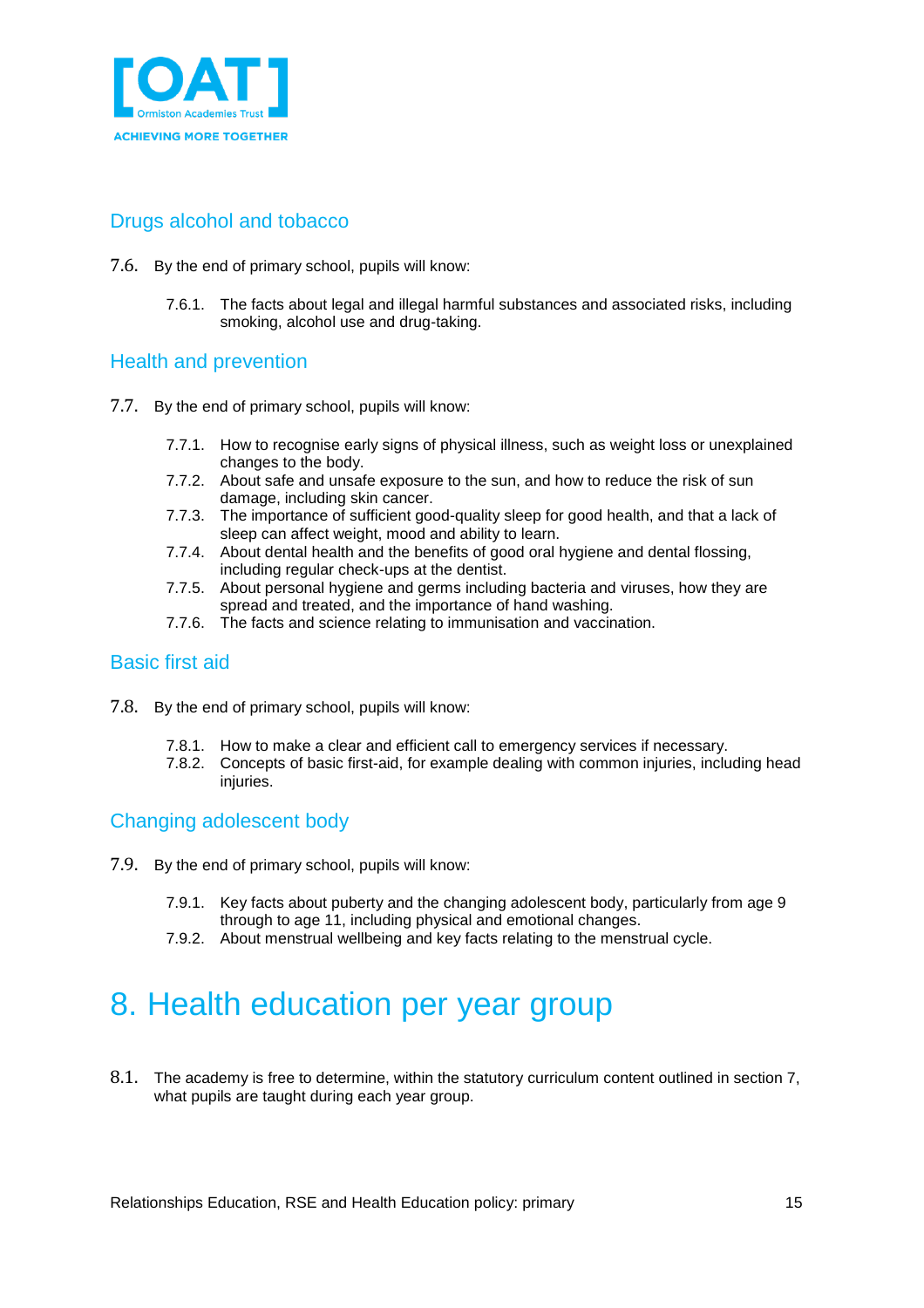

### <span id="page-14-0"></span>Drugs alcohol and tobacco

- 7.6. By the end of primary school, pupils will know:
	- 7.6.1. The facts about legal and illegal harmful substances and associated risks, including smoking, alcohol use and drug-taking.

### <span id="page-14-1"></span>Health and prevention

- 7.7. By the end of primary school, pupils will know:
	- 7.7.1. How to recognise early signs of physical illness, such as weight loss or unexplained changes to the body.
	- 7.7.2. About safe and unsafe exposure to the sun, and how to reduce the risk of sun damage, including skin cancer.
	- 7.7.3. The importance of sufficient good-quality sleep for good health, and that a lack of sleep can affect weight, mood and ability to learn.
	- 7.7.4. About dental health and the benefits of good oral hygiene and dental flossing, including regular check-ups at the dentist.
	- 7.7.5. About personal hygiene and germs including bacteria and viruses, how they are spread and treated, and the importance of hand washing.
	- 7.7.6. The facts and science relating to immunisation and vaccination.

### <span id="page-14-2"></span>Basic first aid

- 7.8. By the end of primary school, pupils will know:
	- 7.8.1. How to make a clear and efficient call to emergency services if necessary.
	- 7.8.2. Concepts of basic first-aid, for example dealing with common injuries, including head injuries.

Changing adolescent body

- 7.9. By the end of primary school, pupils will know:
	- 7.9.1. Key facts about puberty and the changing adolescent body, particularly from age 9 through to age 11, including physical and emotional changes.
	- 7.9.2. About menstrual wellbeing and key facts relating to the menstrual cycle.

### <span id="page-14-3"></span>8. Health education per year group

8.1. The academy is free to determine, within the statutory curriculum content outlined in section 7, what pupils are taught during each year group.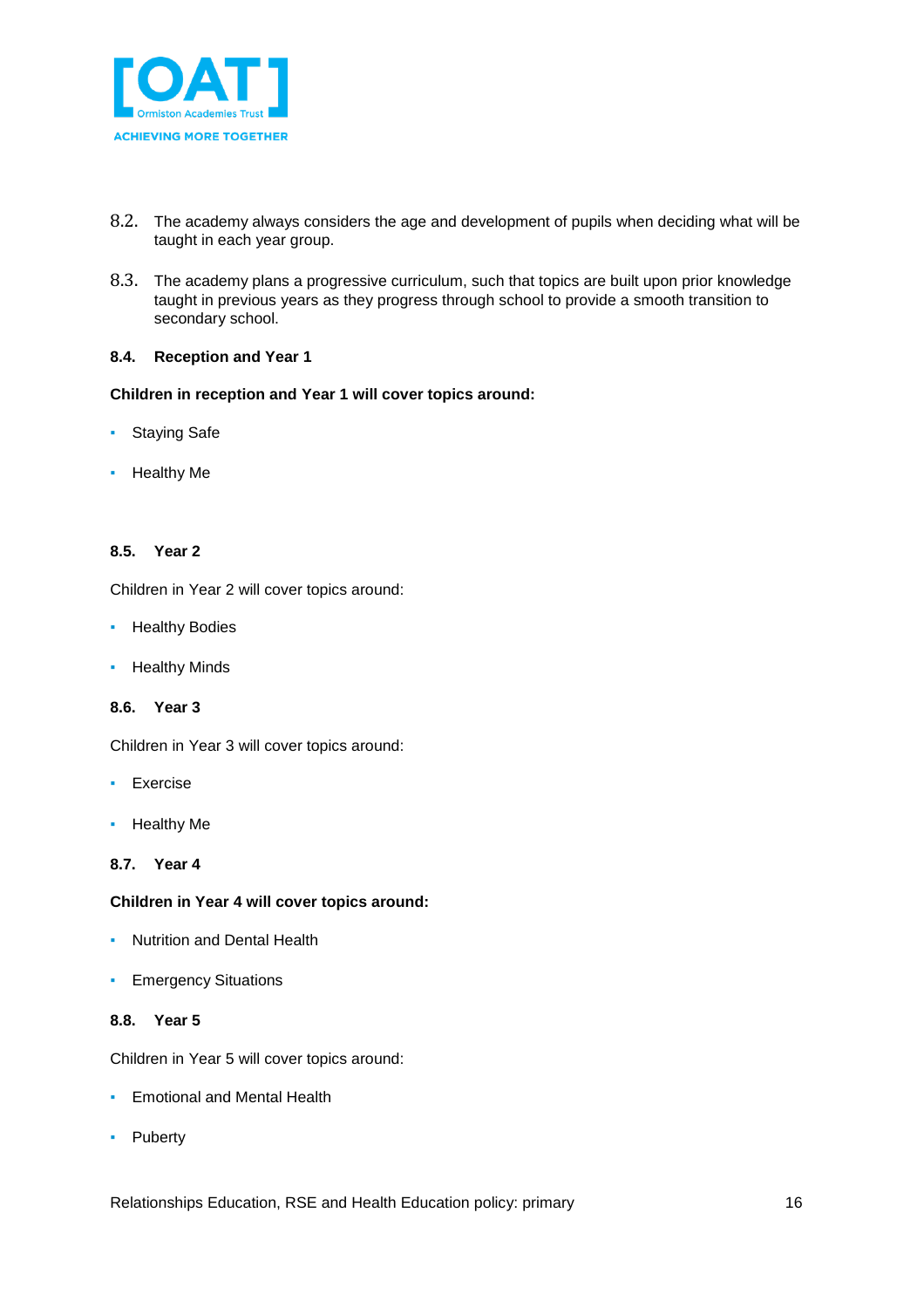

- 8.2. The academy always considers the age and development of pupils when deciding what will be taught in each year group.
- 8.3. The academy plans a progressive curriculum, such that topics are built upon prior knowledge taught in previous years as they progress through school to provide a smooth transition to secondary school.

#### **8.4. Reception and Year 1**

#### **Children in reception and Year 1 will cover topics around:**

- Staying Safe
- Healthy Me

#### **8.5. Year 2**

Children in Year 2 will cover topics around:

- **Healthy Bodies**
- Healthy Minds

#### **8.6. Year 3**

Children in Year 3 will cover topics around:

- Exercise
- Healthy Me

#### **8.7. Year 4**

#### **Children in Year 4 will cover topics around:**

- **Nutrition and Dental Health**
- **Emergency Situations**

#### **8.8. Year 5**

Children in Year 5 will cover topics around:

- **Emotional and Mental Health**
- **Puberty**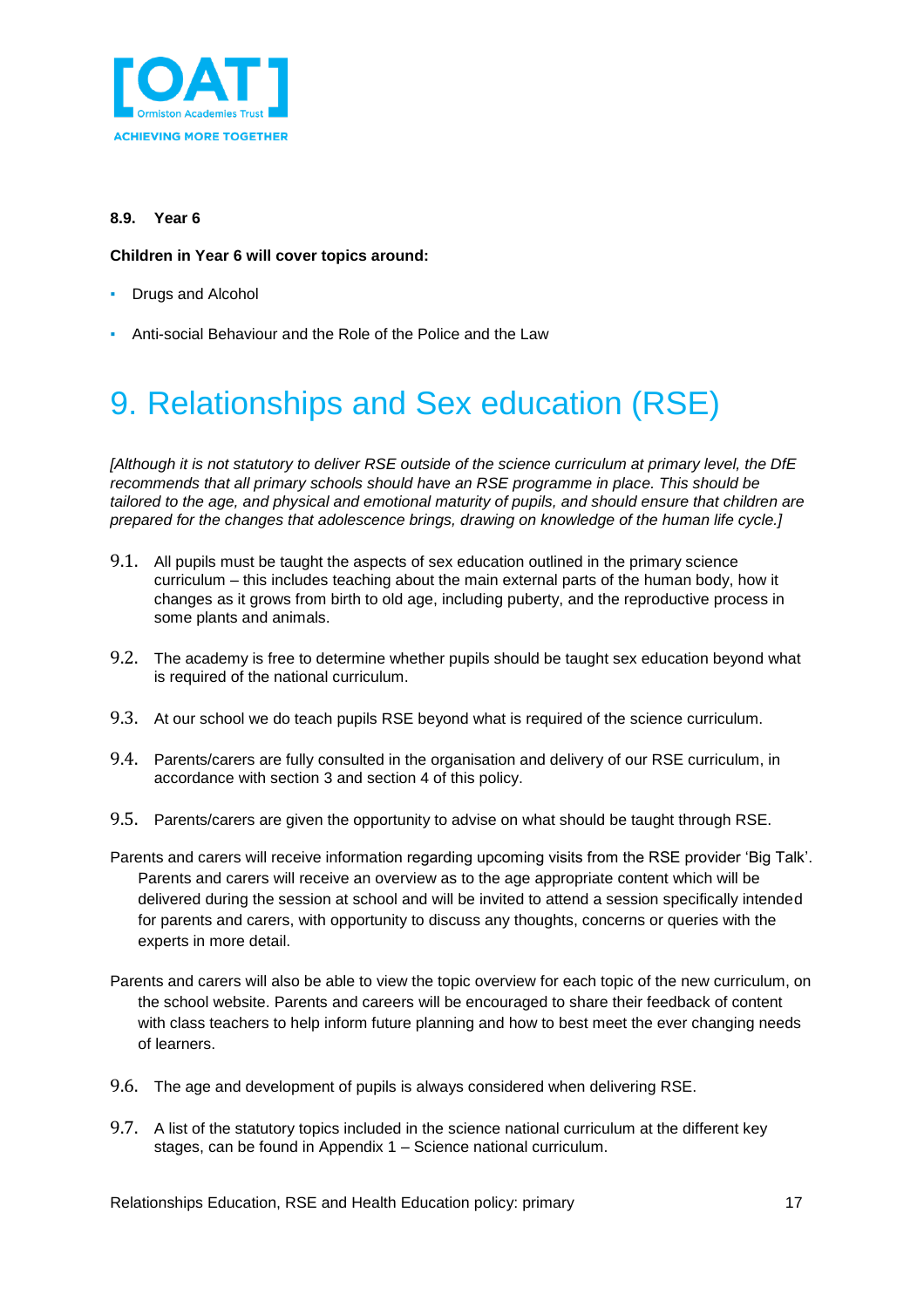

#### **8.9. Year 6**

#### **Children in Year 6 will cover topics around:**

- **Drugs and Alcohol**
- Anti-social Behaviour and the Role of the Police and the Law

# <span id="page-16-0"></span>9. Relationships and Sex education (RSE)

*[Although it is not statutory to deliver RSE outside of the science curriculum at primary level, the DfE recommends that all primary schools should have an RSE programme in place. This should be tailored to the age, and physical and emotional maturity of pupils, and should ensure that children are prepared for the changes that adolescence brings, drawing on knowledge of the human life cycle.]*

- 9.1. All pupils must be taught the aspects of sex education outlined in the primary science curriculum – this includes teaching about the main external parts of the human body, how it changes as it grows from birth to old age, including puberty, and the reproductive process in some plants and animals.
- 9.2. The academy is free to determine whether pupils should be taught sex education beyond what is required of the national curriculum.
- 9.3. At our school we do teach pupils RSE beyond what is required of the science curriculum.
- 9.4. Parents/carers are fully consulted in the organisation and delivery of our RSE curriculum, in accordance with section 3 and section 4 of this policy.
- 9.5. Parents/carers are given the opportunity to advise on what should be taught through RSE.
- Parents and carers will receive information regarding upcoming visits from the RSE provider 'Big Talk'. Parents and carers will receive an overview as to the age appropriate content which will be delivered during the session at school and will be invited to attend a session specifically intended for parents and carers, with opportunity to discuss any thoughts, concerns or queries with the experts in more detail.
- Parents and carers will also be able to view the topic overview for each topic of the new curriculum, on the school website. Parents and careers will be encouraged to share their feedback of content with class teachers to help inform future planning and how to best meet the ever changing needs of learners.
- 9.6. The age and development of pupils is always considered when delivering RSE.
- 9.7. A list of the statutory topics included in the science national curriculum at the different key stages, can be found in Appendix 1 – Science national curriculum.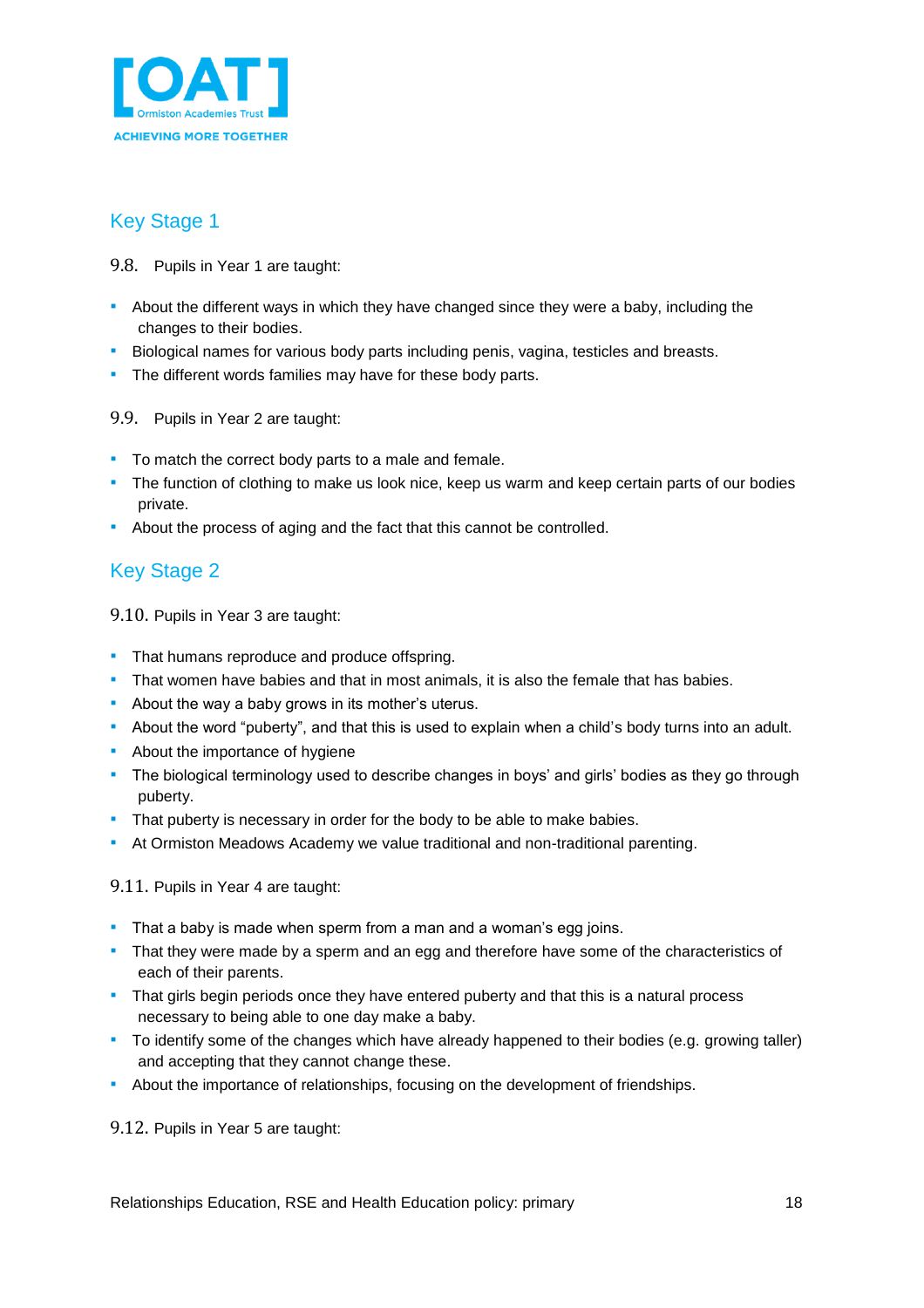

### <span id="page-17-0"></span>Key Stage 1

- 9.8. Pupils in Year 1 are taught:
- **•** About the different ways in which they have changed since they were a baby, including the changes to their bodies.
- **EXECT AID EXECT 1** Biological names for various body parts including penis, vagina, testicles and breasts.
- **•** The different words families may have for these body parts.
- 9.9. Pupils in Year 2 are taught:
- To match the correct body parts to a male and female.
- **·** The function of clothing to make us look nice, keep us warm and keep certain parts of our bodies private.
- About the process of aging and the fact that this cannot be controlled.

### <span id="page-17-1"></span>Key Stage 2

9.10. Pupils in Year 3 are taught:

- **That humans reproduce and produce offspring.**
- **That women have babies and that in most animals, it is also the female that has babies.**
- **About the way a baby grows in its mother's uterus.**
- **EXED** About the word "puberty", and that this is used to explain when a child's body turns into an adult.
- **About the importance of hygiene**
- The biological terminology used to describe changes in boys' and girls' bodies as they go through puberty.
- **•** That puberty is necessary in order for the body to be able to make babies.
- **EXECT** At Ormiston Meadows Academy we value traditional and non-traditional parenting.

9.11. Pupils in Year 4 are taught:

- **.** That a baby is made when sperm from a man and a woman's egg joins.
- **•** That they were made by a sperm and an egg and therefore have some of the characteristics of each of their parents.
- **That girls begin periods once they have entered puberty and that this is a natural process** necessary to being able to one day make a baby.
- To identify some of the changes which have already happened to their bodies (e.g. growing taller) and accepting that they cannot change these.
- About the importance of relationships, focusing on the development of friendships.

9.12. Pupils in Year 5 are taught: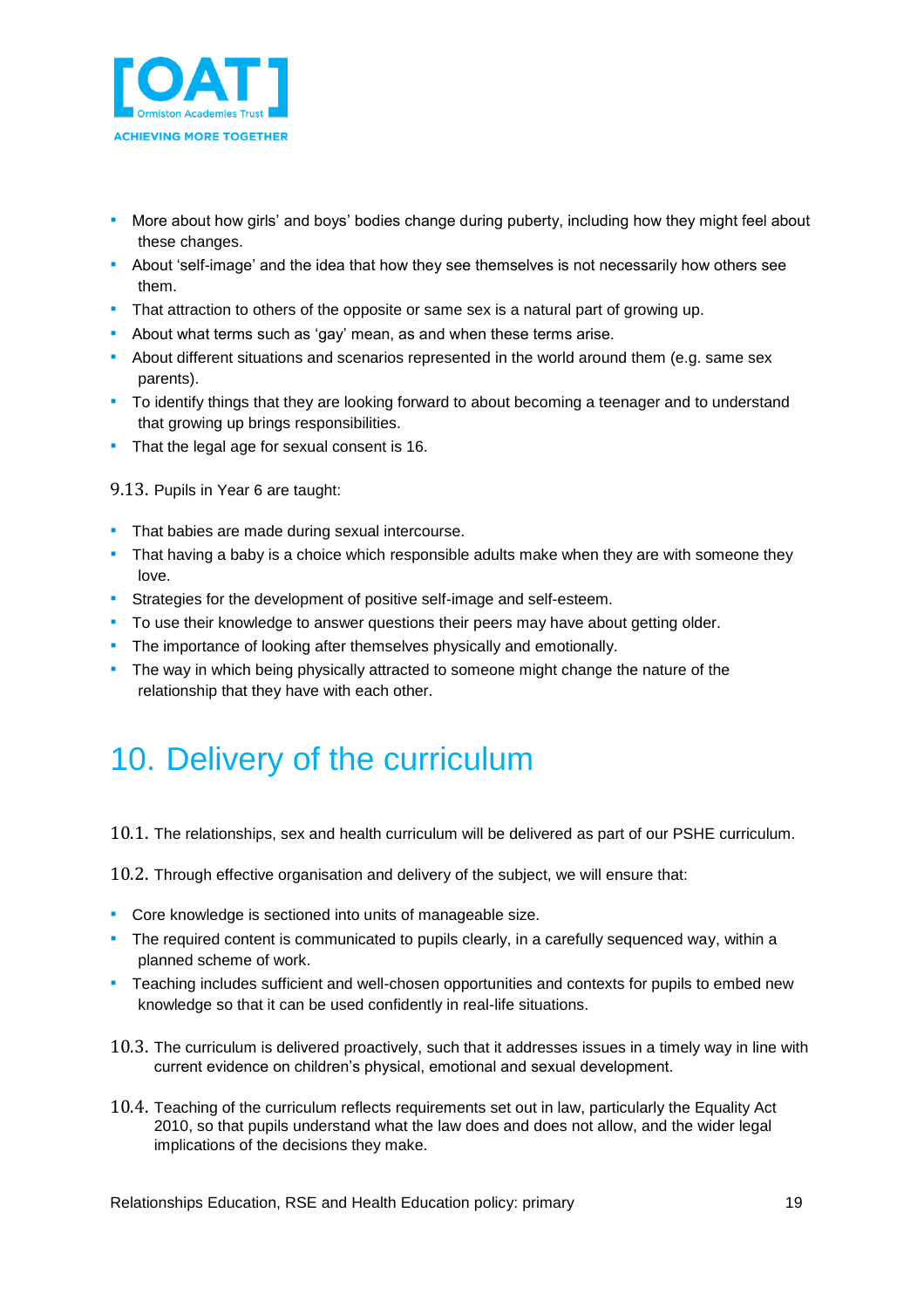

- **•** More about how girls' and boys' bodies change during puberty, including how they might feel about these changes.
- **•** About 'self-image' and the idea that how they see themselves is not necessarily how others see them.
- **That attraction to others of the opposite or same sex is a natural part of growing up.**
- **EXEDM** About what terms such as 'gay' mean, as and when these terms arise.
- **EXECT About different situations and scenarios represented in the world around them (e.g. same sex** parents).
- To identify things that they are looking forward to about becoming a teenager and to understand that growing up brings responsibilities.
- **That the legal age for sexual consent is 16.**

9.13. Pupils in Year 6 are taught:

- **That babies are made during sexual intercourse.**
- **•** That having a baby is a choice which responsible adults make when they are with someone they love.
- **EXECT:** Strategies for the development of positive self-image and self-esteem.
- **•** To use their knowledge to answer questions their peers may have about getting older.
- The importance of looking after themselves physically and emotionally.
- **The way in which being physically attracted to someone might change the nature of the** relationship that they have with each other.

## <span id="page-18-0"></span>10. Delivery of the curriculum

10.1. The relationships, sex and health curriculum will be delivered as part of our PSHE curriculum.

10.2. Through effective organisation and delivery of the subject, we will ensure that:

- Core knowledge is sectioned into units of manageable size.
- The required content is communicated to pupils clearly, in a carefully sequenced way, within a planned scheme of work.
- **•** Teaching includes sufficient and well-chosen opportunities and contexts for pupils to embed new knowledge so that it can be used confidently in real-life situations.
- 10.3. The curriculum is delivered proactively, such that it addresses issues in a timely way in line with current evidence on children's physical, emotional and sexual development.
- 10.4. Teaching of the curriculum reflects requirements set out in law, particularly the Equality Act 2010, so that pupils understand what the law does and does not allow, and the wider legal implications of the decisions they make.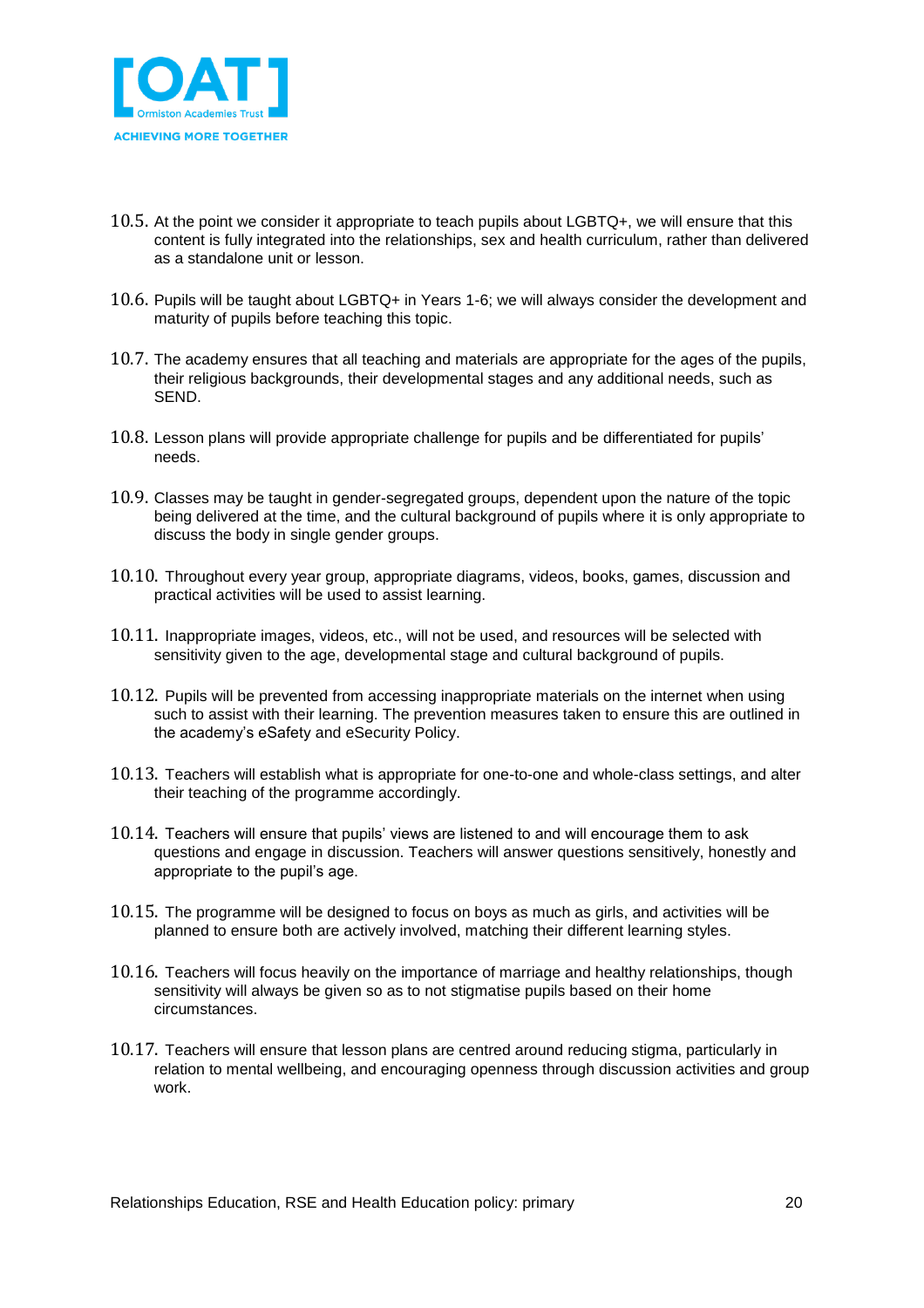

- 10.5. At the point we consider it appropriate to teach pupils about LGBTQ+, we will ensure that this content is fully integrated into the relationships, sex and health curriculum, rather than delivered as a standalone unit or lesson.
- 10.6. Pupils will be taught about LGBTQ+ in Years 1-6; we will always consider the development and maturity of pupils before teaching this topic.
- 10.7. The academy ensures that all teaching and materials are appropriate for the ages of the pupils, their religious backgrounds, their developmental stages and any additional needs, such as SEND.
- 10.8. Lesson plans will provide appropriate challenge for pupils and be differentiated for pupils' needs.
- 10.9. Classes may be taught in gender-segregated groups, dependent upon the nature of the topic being delivered at the time, and the cultural background of pupils where it is only appropriate to discuss the body in single gender groups.
- 10.10. Throughout every year group, appropriate diagrams, videos, books, games, discussion and practical activities will be used to assist learning.
- 10.11. Inappropriate images, videos, etc., will not be used, and resources will be selected with sensitivity given to the age, developmental stage and cultural background of pupils.
- 10.12. Pupils will be prevented from accessing inappropriate materials on the internet when using such to assist with their learning. The prevention measures taken to ensure this are outlined in the academy's eSafety and eSecurity Policy.
- 10.13. Teachers will establish what is appropriate for one-to-one and whole-class settings, and alter their teaching of the programme accordingly.
- 10.14. Teachers will ensure that pupils' views are listened to and will encourage them to ask questions and engage in discussion. Teachers will answer questions sensitively, honestly and appropriate to the pupil's age.
- 10.15. The programme will be designed to focus on boys as much as girls, and activities will be planned to ensure both are actively involved, matching their different learning styles.
- 10.16. Teachers will focus heavily on the importance of marriage and healthy relationships, though sensitivity will always be given so as to not stigmatise pupils based on their home circumstances.
- 10.17. Teachers will ensure that lesson plans are centred around reducing stigma, particularly in relation to mental wellbeing, and encouraging openness through discussion activities and group work.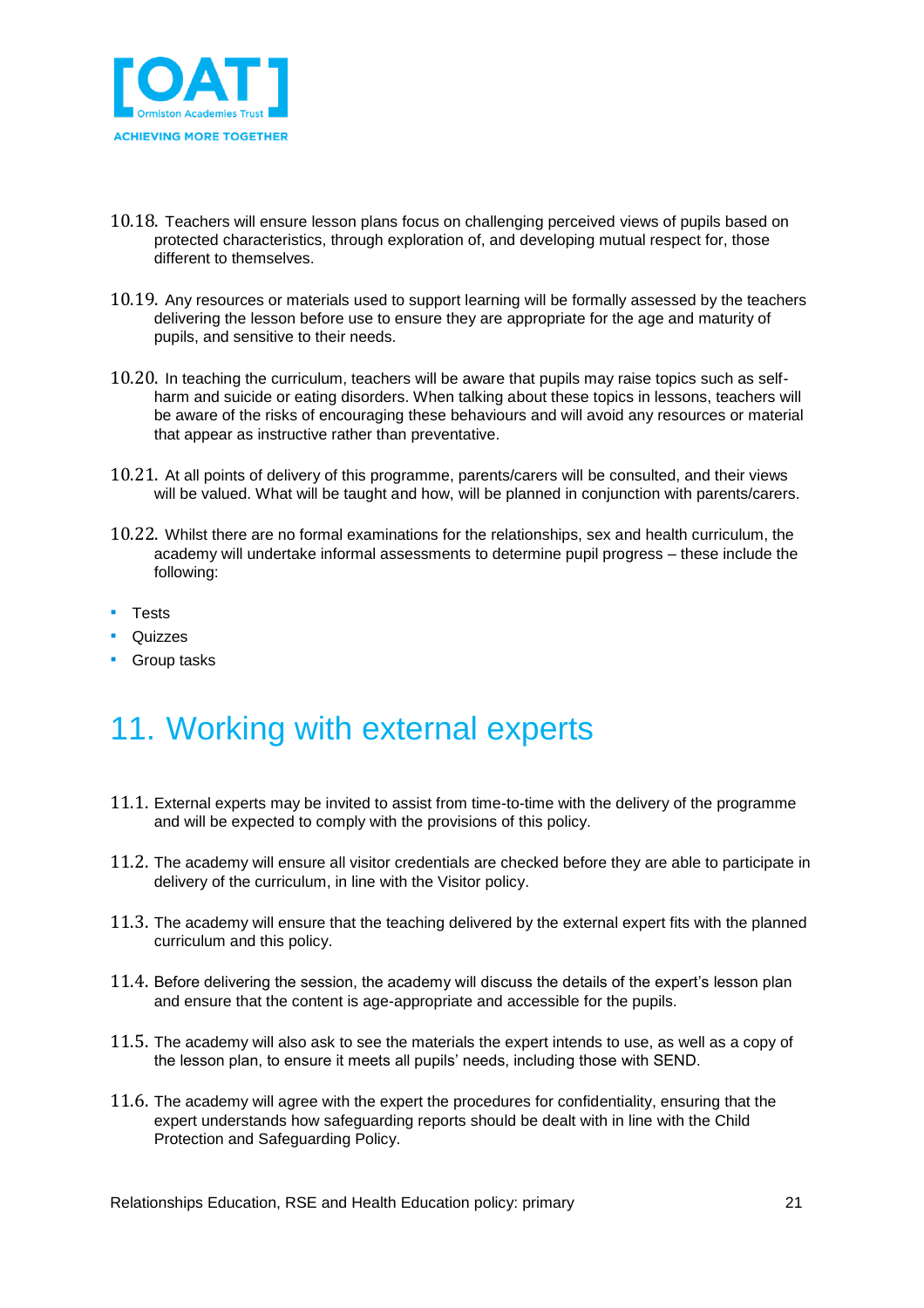

- 10.18. Teachers will ensure lesson plans focus on challenging perceived views of pupils based on protected characteristics, through exploration of, and developing mutual respect for, those different to themselves.
- 10.19. Any resources or materials used to support learning will be formally assessed by the teachers delivering the lesson before use to ensure they are appropriate for the age and maturity of pupils, and sensitive to their needs.
- 10.20. In teaching the curriculum, teachers will be aware that pupils may raise topics such as selfharm and suicide or eating disorders. When talking about these topics in lessons, teachers will be aware of the risks of encouraging these behaviours and will avoid any resources or material that appear as instructive rather than preventative.
- 10.21. At all points of delivery of this programme, parents/carers will be consulted, and their views will be valued. What will be taught and how, will be planned in conjunction with parents/carers.
- 10.22. Whilst there are no formal examinations for the relationships, sex and health curriculum, the academy will undertake informal assessments to determine pupil progress – these include the following:
- Tests
- **Quizzes**
- **•** Group tasks

## <span id="page-20-0"></span>11. Working with external experts

- 11.1. External experts may be invited to assist from time-to-time with the delivery of the programme and will be expected to comply with the provisions of this policy.
- 11.2. The academy will ensure all visitor credentials are checked before they are able to participate in delivery of the curriculum, in line with the Visitor policy.
- 11.3. The academy will ensure that the teaching delivered by the external expert fits with the planned curriculum and this policy.
- 11.4. Before delivering the session, the academy will discuss the details of the expert's lesson plan and ensure that the content is age-appropriate and accessible for the pupils.
- 11.5. The academy will also ask to see the materials the expert intends to use, as well as a copy of the lesson plan, to ensure it meets all pupils' needs, including those with SEND.
- 11.6. The academy will agree with the expert the procedures for confidentiality, ensuring that the expert understands how safeguarding reports should be dealt with in line with the Child Protection and Safeguarding Policy.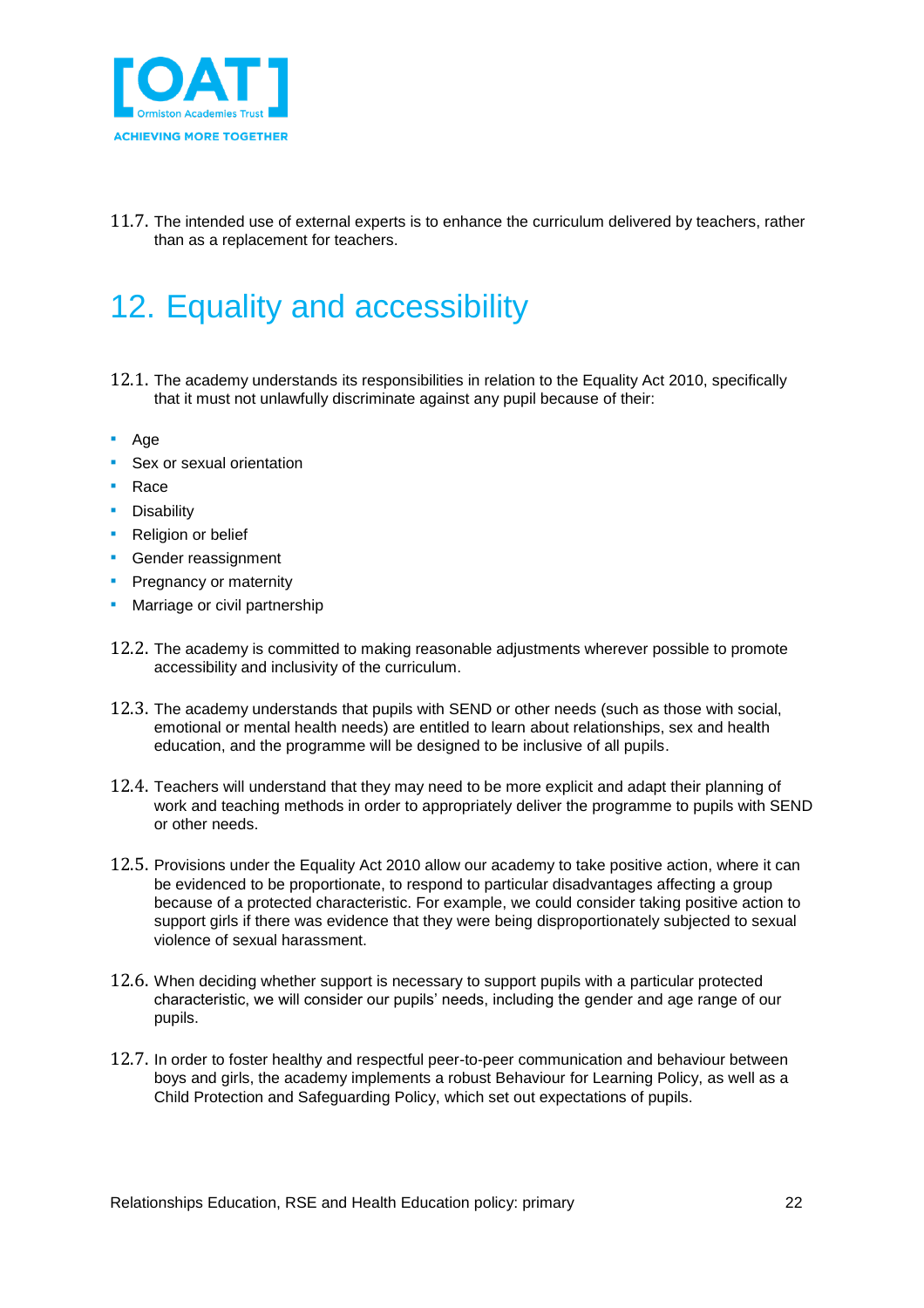

11.7. The intended use of external experts is to enhance the curriculum delivered by teachers, rather than as a replacement for teachers.

## <span id="page-21-0"></span>12. Equality and accessibility

- 12.1. The academy understands its responsibilities in relation to the Equality Act 2010, specifically that it must not unlawfully discriminate against any pupil because of their:
- Age
- Sex or sexual orientation
- Race
- **•** Disability
- **•** Religion or belief
- **Gender reassignment**
- **Pregnancy or maternity**
- **Marriage or civil partnership**
- 12.2. The academy is committed to making reasonable adjustments wherever possible to promote accessibility and inclusivity of the curriculum.
- 12.3. The academy understands that pupils with SEND or other needs (such as those with social, emotional or mental health needs) are entitled to learn about relationships, sex and health education, and the programme will be designed to be inclusive of all pupils.
- 12.4. Teachers will understand that they may need to be more explicit and adapt their planning of work and teaching methods in order to appropriately deliver the programme to pupils with SEND or other needs.
- 12.5. Provisions under the Equality Act 2010 allow our academy to take positive action, where it can be evidenced to be proportionate, to respond to particular disadvantages affecting a group because of a protected characteristic. For example, we could consider taking positive action to support girls if there was evidence that they were being disproportionately subjected to sexual violence of sexual harassment.
- 12.6. When deciding whether support is necessary to support pupils with a particular protected characteristic, we will consider our pupils' needs, including the gender and age range of our pupils.
- 12.7. In order to foster healthy and respectful peer-to-peer communication and behaviour between boys and girls, the academy implements a robust Behaviour for Learning Policy, as well as a Child Protection and Safeguarding Policy, which set out expectations of pupils.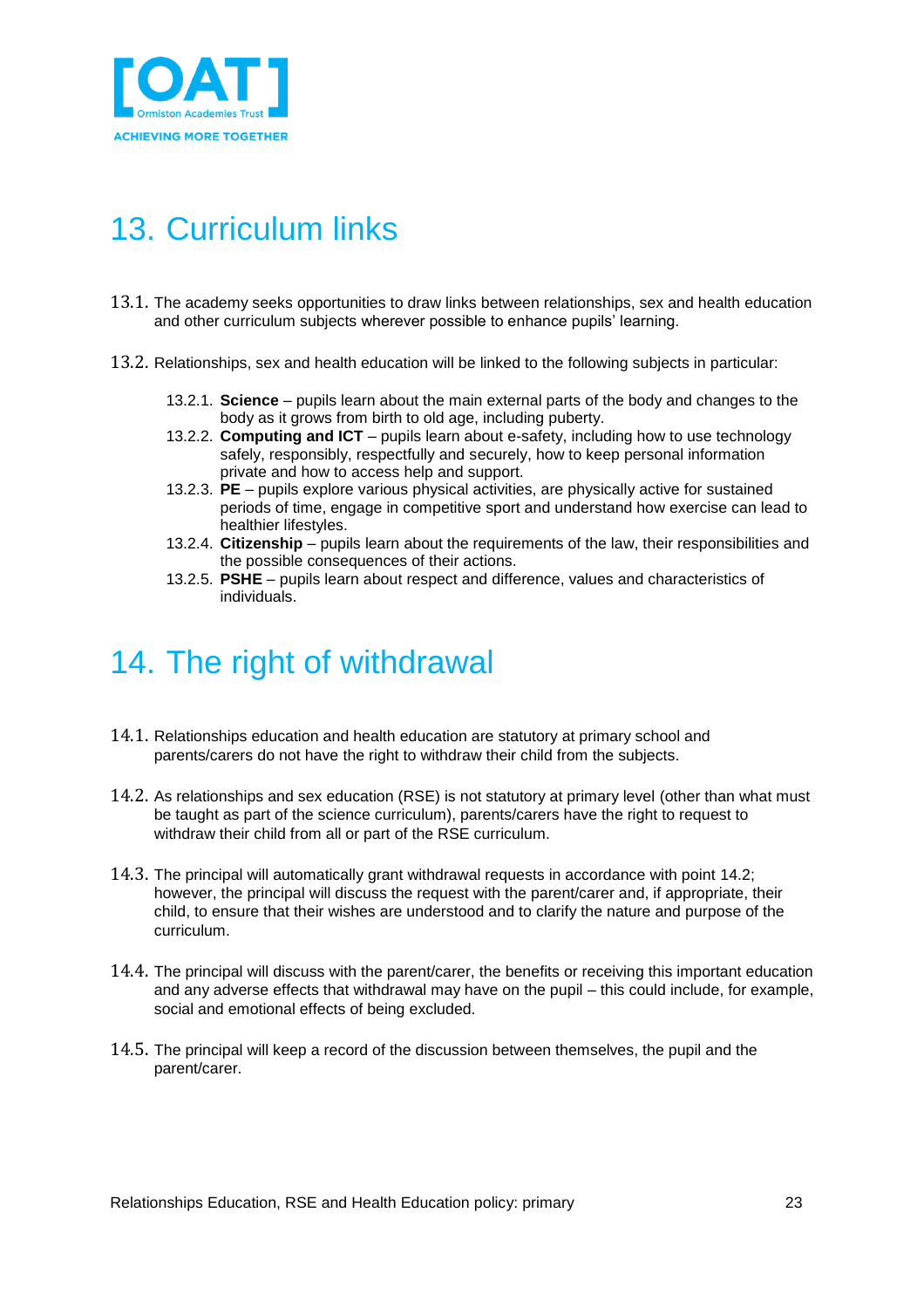

## <span id="page-22-0"></span>13. Curriculum links

- 13.1. The academy seeks opportunities to draw links between relationships, sex and health education and other curriculum subjects wherever possible to enhance pupils' learning.
- 13.2. Relationships, sex and health education will be linked to the following subjects in particular:
	- 13.2.1. **Science** pupils learn about the main external parts of the body and changes to the body as it grows from birth to old age, including puberty.
	- 13.2.2. **Computing and ICT** pupils learn about e-safety, including how to use technology safely, responsibly, respectfully and securely, how to keep personal information private and how to access help and support.
	- 13.2.3. **PE** pupils explore various physical activities, are physically active for sustained periods of time, engage in competitive sport and understand how exercise can lead to healthier lifestyles.
	- 13.2.4. **Citizenship** pupils learn about the requirements of the law, their responsibilities and the possible consequences of their actions.
	- 13.2.5. **PSHE**  pupils learn about respect and difference, values and characteristics of individuals.

### <span id="page-22-1"></span>14. The right of withdrawal

- 14.1. Relationships education and health education are statutory at primary school and parents/carers do not have the right to withdraw their child from the subjects.
- 14.2. As relationships and sex education (RSE) is not statutory at primary level (other than what must be taught as part of the science curriculum), parents/carers have the right to request to withdraw their child from all or part of the RSE curriculum.
- 14.3. The principal will automatically grant withdrawal requests in accordance with point 14.2; however, the principal will discuss the request with the parent/carer and, if appropriate, their child, to ensure that their wishes are understood and to clarify the nature and purpose of the curriculum.
- 14.4. The principal will discuss with the parent/carer, the benefits or receiving this important education and any adverse effects that withdrawal may have on the pupil – this could include, for example, social and emotional effects of being excluded.
- 14.5. The principal will keep a record of the discussion between themselves, the pupil and the parent/carer.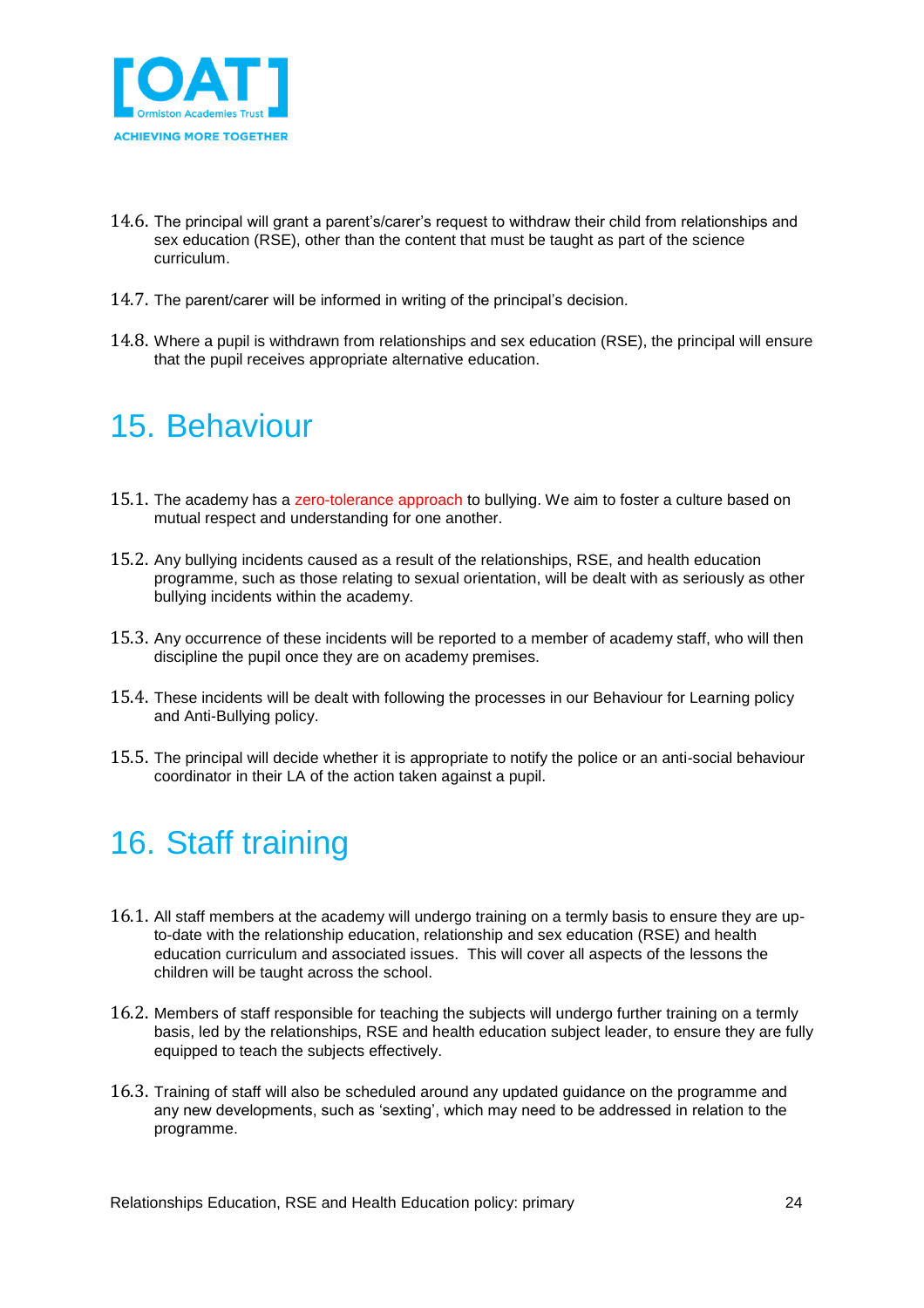

- 14.6. The principal will grant a parent's/carer's request to withdraw their child from relationships and sex education (RSE), other than the content that must be taught as part of the science curriculum.
- 14.7. The parent/carer will be informed in writing of the principal's decision.
- 14.8. Where a pupil is withdrawn from relationships and sex education (RSE), the principal will ensure that the pupil receives appropriate alternative education.

## <span id="page-23-0"></span>15. Behaviour

- 15.1. The academy has a zero-tolerance approach to bullying. We aim to foster a culture based on mutual respect and understanding for one another.
- 15.2. Any bullying incidents caused as a result of the relationships, RSE, and health education programme, such as those relating to sexual orientation, will be dealt with as seriously as other bullying incidents within the academy.
- 15.3. Any occurrence of these incidents will be reported to a member of academy staff, who will then discipline the pupil once they are on academy premises.
- 15.4. These incidents will be dealt with following the processes in our Behaviour for Learning policy and Anti-Bullying policy.
- 15.5. The principal will decide whether it is appropriate to notify the police or an anti-social behaviour coordinator in their LA of the action taken against a pupil.

### <span id="page-23-1"></span>16. Staff training

- 16.1. All staff members at the academy will undergo training on a termly basis to ensure they are upto-date with the relationship education, relationship and sex education (RSE) and health education curriculum and associated issues. This will cover all aspects of the lessons the children will be taught across the school.
- 16.2. Members of staff responsible for teaching the subjects will undergo further training on a termly basis, led by the relationships, RSE and health education subject leader, to ensure they are fully equipped to teach the subjects effectively.
- 16.3. Training of staff will also be scheduled around any updated guidance on the programme and any new developments, such as 'sexting', which may need to be addressed in relation to the programme.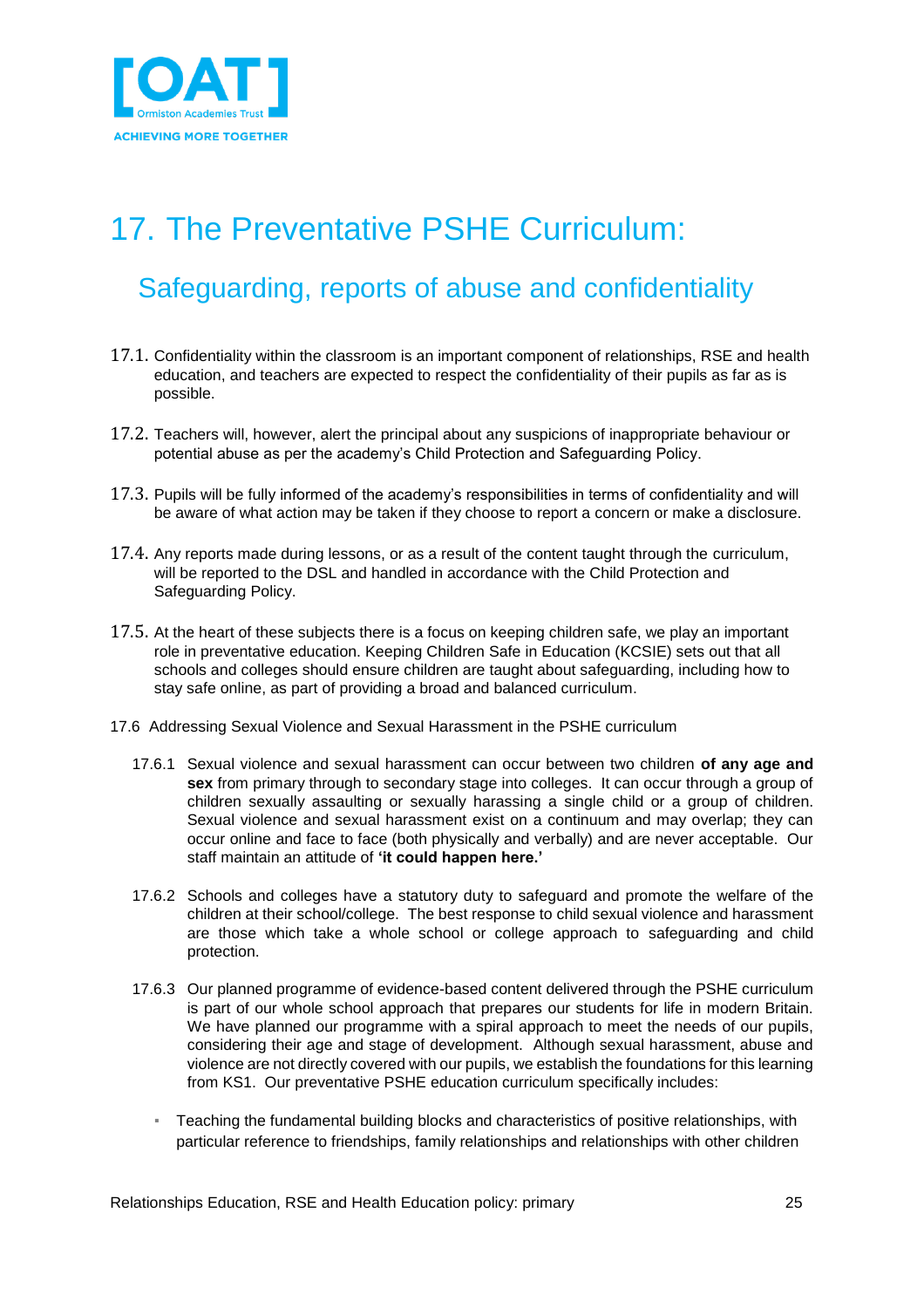

# <span id="page-24-0"></span>17. The Preventative PSHE Curriculum:

### Safeguarding, reports of abuse and confidentiality

- 17.1. Confidentiality within the classroom is an important component of relationships, RSE and health education, and teachers are expected to respect the confidentiality of their pupils as far as is possible.
- 17.2. Teachers will, however, alert the principal about any suspicions of inappropriate behaviour or potential abuse as per the academy's Child Protection and Safeguarding Policy.
- 17.3. Pupils will be fully informed of the academy's responsibilities in terms of confidentiality and will be aware of what action may be taken if they choose to report a concern or make a disclosure.
- 17.4. Any reports made during lessons, or as a result of the content taught through the curriculum, will be reported to the DSL and handled in accordance with the Child Protection and Safeguarding Policy.
- 17.5. At the heart of these subjects there is a focus on keeping children safe, we play an important role in preventative education. Keeping Children Safe in Education (KCSIE) sets out that all schools and colleges should ensure children are taught about safeguarding, including how to stay safe online, as part of providing a broad and balanced curriculum.
- 17.6 Addressing Sexual Violence and Sexual Harassment in the PSHE curriculum
	- 17.6.1 Sexual violence and sexual harassment can occur between two children **of any age and sex** from primary through to secondary stage into colleges. It can occur through a group of children sexually assaulting or sexually harassing a single child or a group of children. Sexual violence and sexual harassment exist on a continuum and may overlap; they can occur online and face to face (both physically and verbally) and are never acceptable. Our staff maintain an attitude of **'it could happen here.'**
	- 17.6.2 Schools and colleges have a statutory duty to safeguard and promote the welfare of the children at their school/college. The best response to child sexual violence and harassment are those which take a whole school or college approach to safeguarding and child protection.
	- 17.6.3 Our planned programme of evidence-based content delivered through the PSHE curriculum is part of our whole school approach that prepares our students for life in modern Britain. We have planned our programme with a spiral approach to meet the needs of our pupils, considering their age and stage of development. Although sexual harassment, abuse and violence are not directly covered with our pupils, we establish the foundations for this learning from KS1. Our preventative PSHE education curriculum specifically includes:
		- Teaching the fundamental building blocks and characteristics of positive relationships, with particular reference to friendships, family relationships and relationships with other children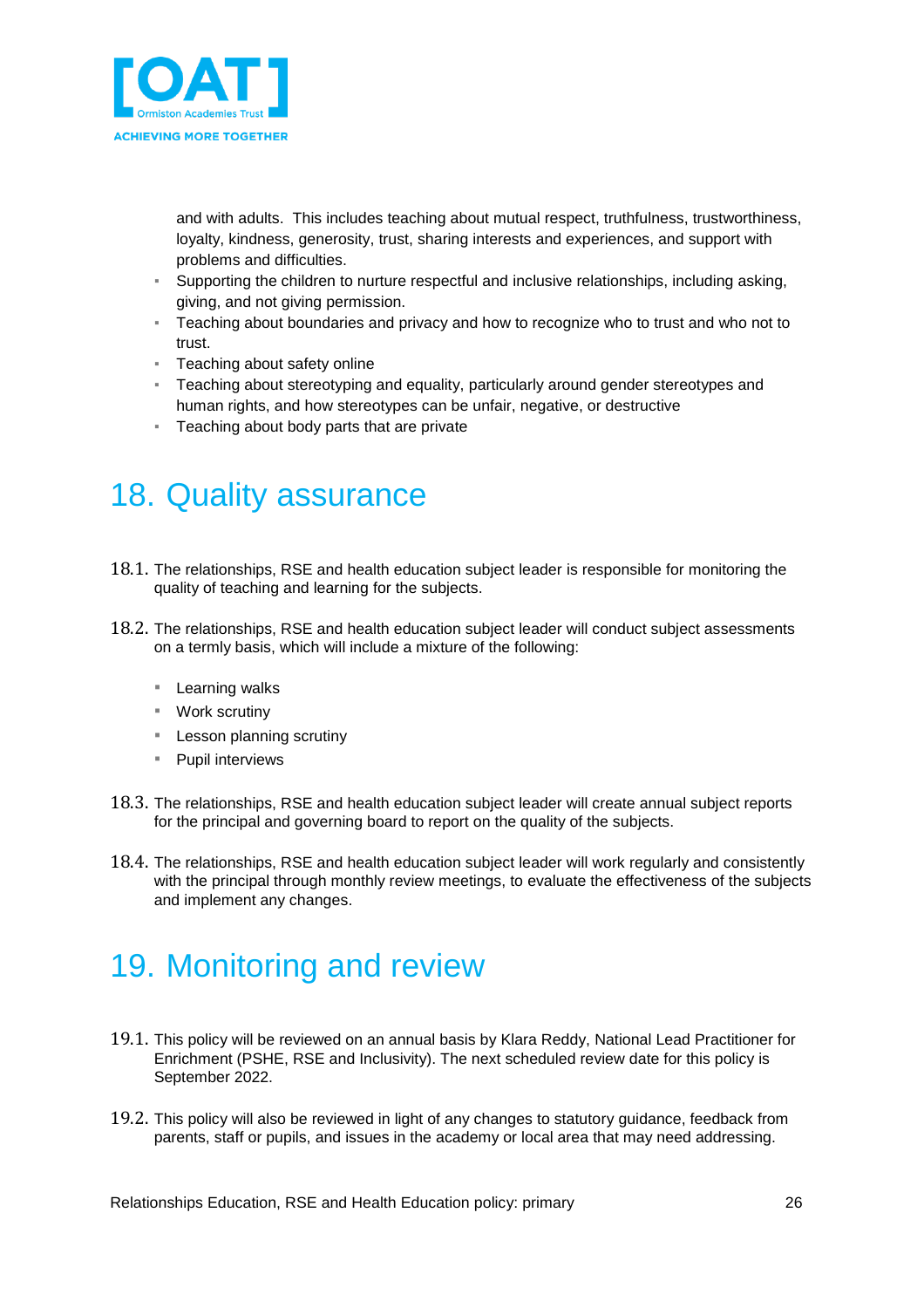

and with adults. This includes teaching about mutual respect, truthfulness, trustworthiness, loyalty, kindness, generosity, trust, sharing interests and experiences, and support with problems and difficulties.

- Supporting the children to nurture respectful and inclusive relationships, including asking, giving, and not giving permission.
- Teaching about boundaries and privacy and how to recognize who to trust and who not to trust.
- **EXE** Teaching about safety online
- Teaching about stereotyping and equality, particularly around gender stereotypes and human rights, and how stereotypes can be unfair, negative, or destructive
- Teaching about body parts that are private

## <span id="page-25-0"></span>18. Quality assurance

- 18.1. The relationships, RSE and health education subject leader is responsible for monitoring the quality of teaching and learning for the subjects.
- 18.2. The relationships, RSE and health education subject leader will conduct subject assessments on a termly basis, which will include a mixture of the following:
	- Learning walks
	- Work scrutiny
	- Lesson planning scrutiny
	- Pupil interviews
- 18.3. The relationships, RSE and health education subject leader will create annual subject reports for the principal and governing board to report on the quality of the subjects.
- 18.4. The relationships, RSE and health education subject leader will work regularly and consistently with the principal through monthly review meetings, to evaluate the effectiveness of the subjects and implement any changes.

### <span id="page-25-1"></span>19. Monitoring and review

- 19.1. This policy will be reviewed on an annual basis by Klara Reddy, National Lead Practitioner for Enrichment (PSHE, RSE and Inclusivity). The next scheduled review date for this policy is September 2022.
- 19.2. This policy will also be reviewed in light of any changes to statutory guidance, feedback from parents, staff or pupils, and issues in the academy or local area that may need addressing.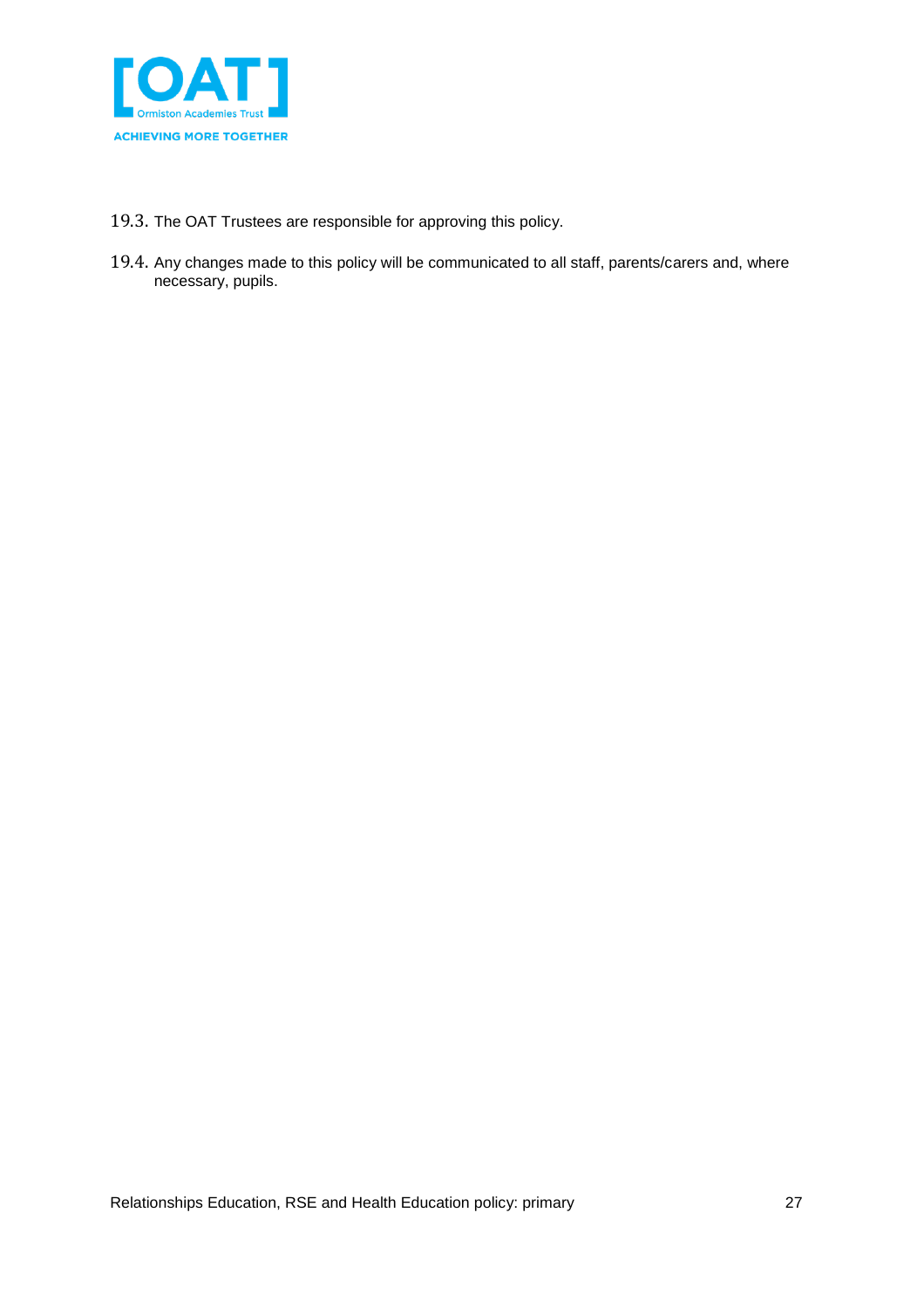

- 19.3. The OAT Trustees are responsible for approving this policy.
- 19.4. Any changes made to this policy will be communicated to all staff, parents/carers and, where necessary, pupils.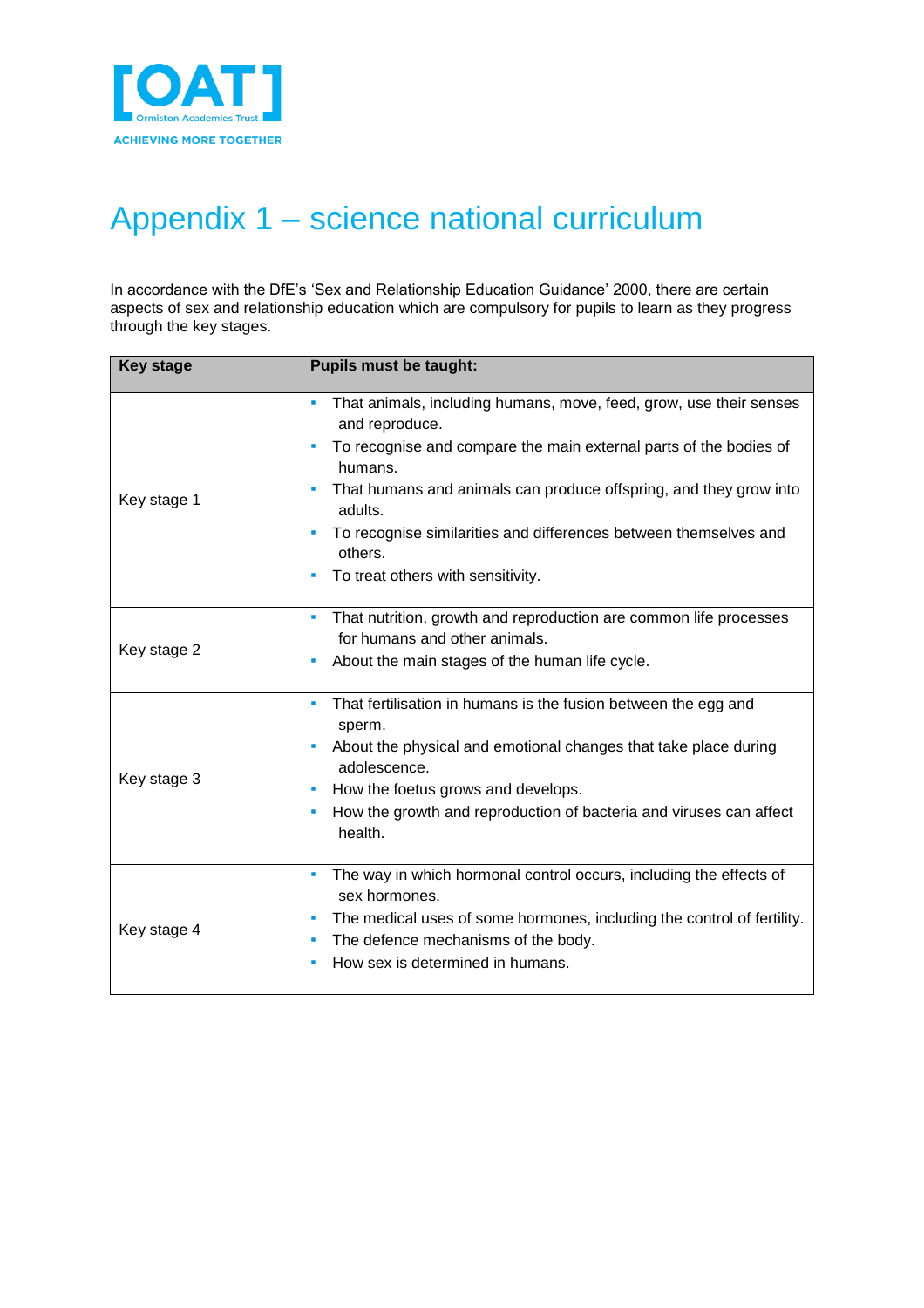

# <span id="page-27-0"></span>Appendix 1 – science national curriculum

In accordance with the DfE's 'Sex and Relationship Education Guidance' 2000, there are certain aspects of sex and relationship education which are compulsory for pupils to learn as they progress through the key stages.

| <b>Key stage</b> | <b>Pupils must be taught:</b>                                                                                                                                                                                                                                                                                                                                                                |
|------------------|----------------------------------------------------------------------------------------------------------------------------------------------------------------------------------------------------------------------------------------------------------------------------------------------------------------------------------------------------------------------------------------------|
| Key stage 1      | That animals, including humans, move, feed, grow, use their senses<br>٠<br>and reproduce.<br>To recognise and compare the main external parts of the bodies of<br>٠<br>humans.<br>That humans and animals can produce offspring, and they grow into<br>×<br>adults.<br>To recognise similarities and differences between themselves and<br>others.<br>To treat others with sensitivity.<br>٠ |
| Key stage 2      | That nutrition, growth and reproduction are common life processes<br>×<br>for humans and other animals.<br>About the main stages of the human life cycle.<br>×                                                                                                                                                                                                                               |
| Key stage 3      | That fertilisation in humans is the fusion between the egg and<br>×<br>sperm.<br>About the physical and emotional changes that take place during<br>×<br>adolescence.<br>How the foetus grows and develops.<br>٠<br>How the growth and reproduction of bacteria and viruses can affect<br>×<br>health.                                                                                       |
| Key stage 4      | The way in which hormonal control occurs, including the effects of<br>×<br>sex hormones.<br>The medical uses of some hormones, including the control of fertility.<br>×<br>The defence mechanisms of the body.<br>٠<br>How sex is determined in humans.<br>٠                                                                                                                                 |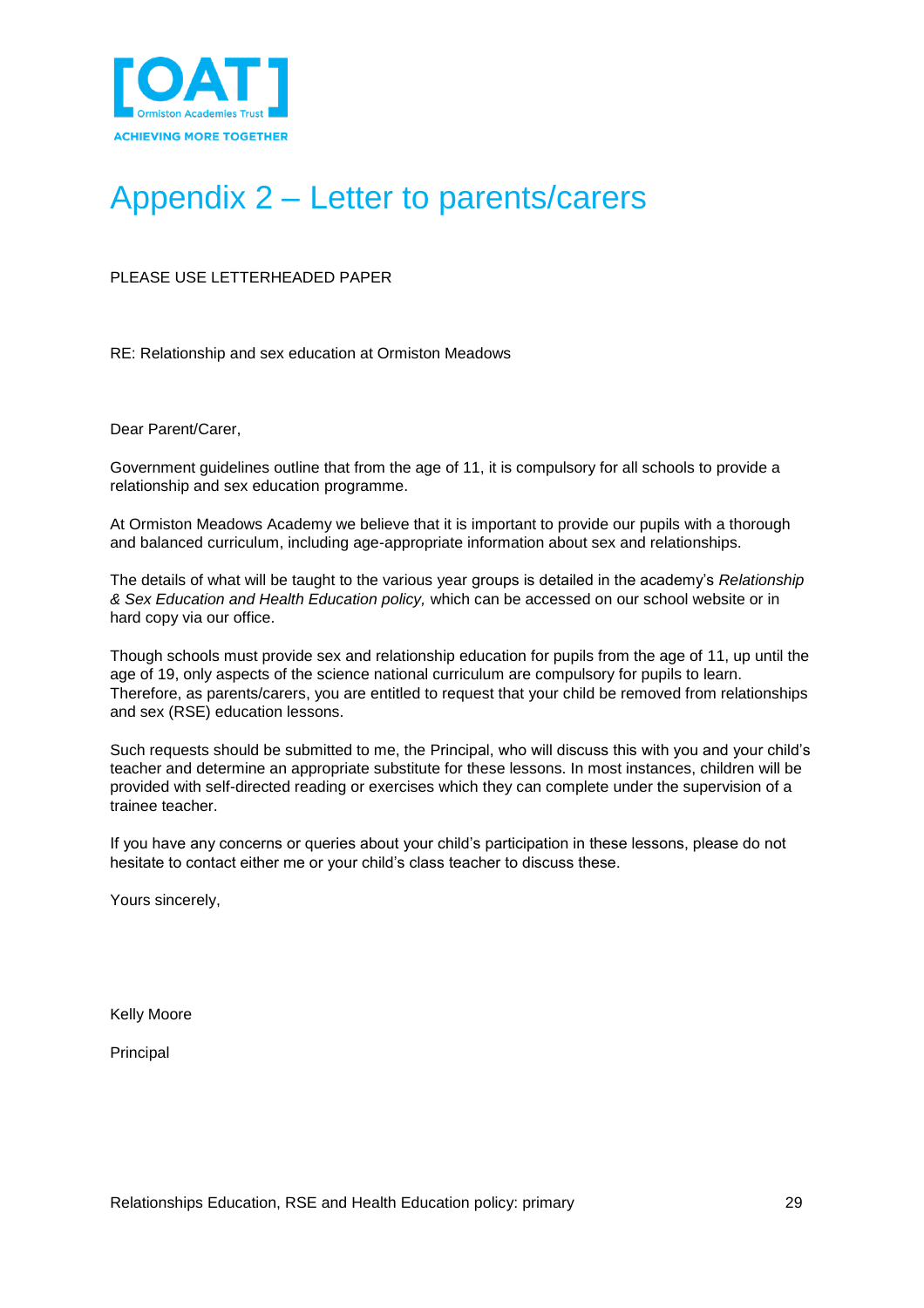

# <span id="page-28-0"></span>Appendix 2 – Letter to parents/carers

PLEASE USE LETTERHEADED PAPER

RE: Relationship and sex education at Ormiston Meadows

Dear Parent/Carer,

Government guidelines outline that from the age of 11, it is compulsory for all schools to provide a relationship and sex education programme.

At Ormiston Meadows Academy we believe that it is important to provide our pupils with a thorough and balanced curriculum, including age-appropriate information about sex and relationships.

The details of what will be taught to the various year groups is detailed in the academy's *Relationship & Sex Education and Health Education policy,* which can be accessed on our school website or in hard copy via our office.

Though schools must provide sex and relationship education for pupils from the age of 11, up until the age of 19, only aspects of the science national curriculum are compulsory for pupils to learn. Therefore, as parents/carers, you are entitled to request that your child be removed from relationships and sex (RSE) education lessons.

Such requests should be submitted to me, the Principal, who will discuss this with you and your child's teacher and determine an appropriate substitute for these lessons. In most instances, children will be provided with self-directed reading or exercises which they can complete under the supervision of a trainee teacher.

If you have any concerns or queries about your child's participation in these lessons, please do not hesitate to contact either me or your child's class teacher to discuss these.

Yours sincerely,

Kelly Moore

Principal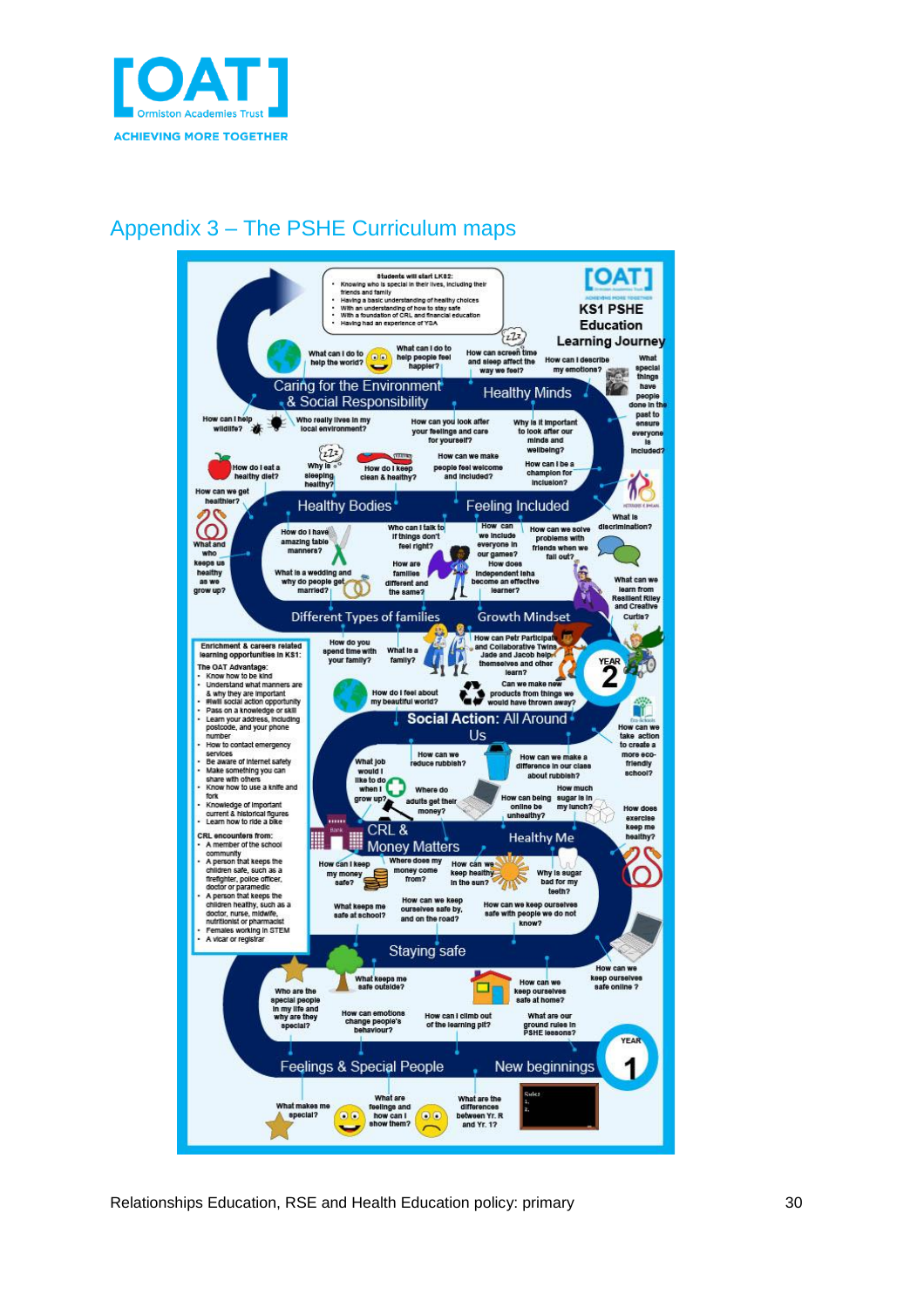

### Appendix 3 – The PSHE Curriculum maps

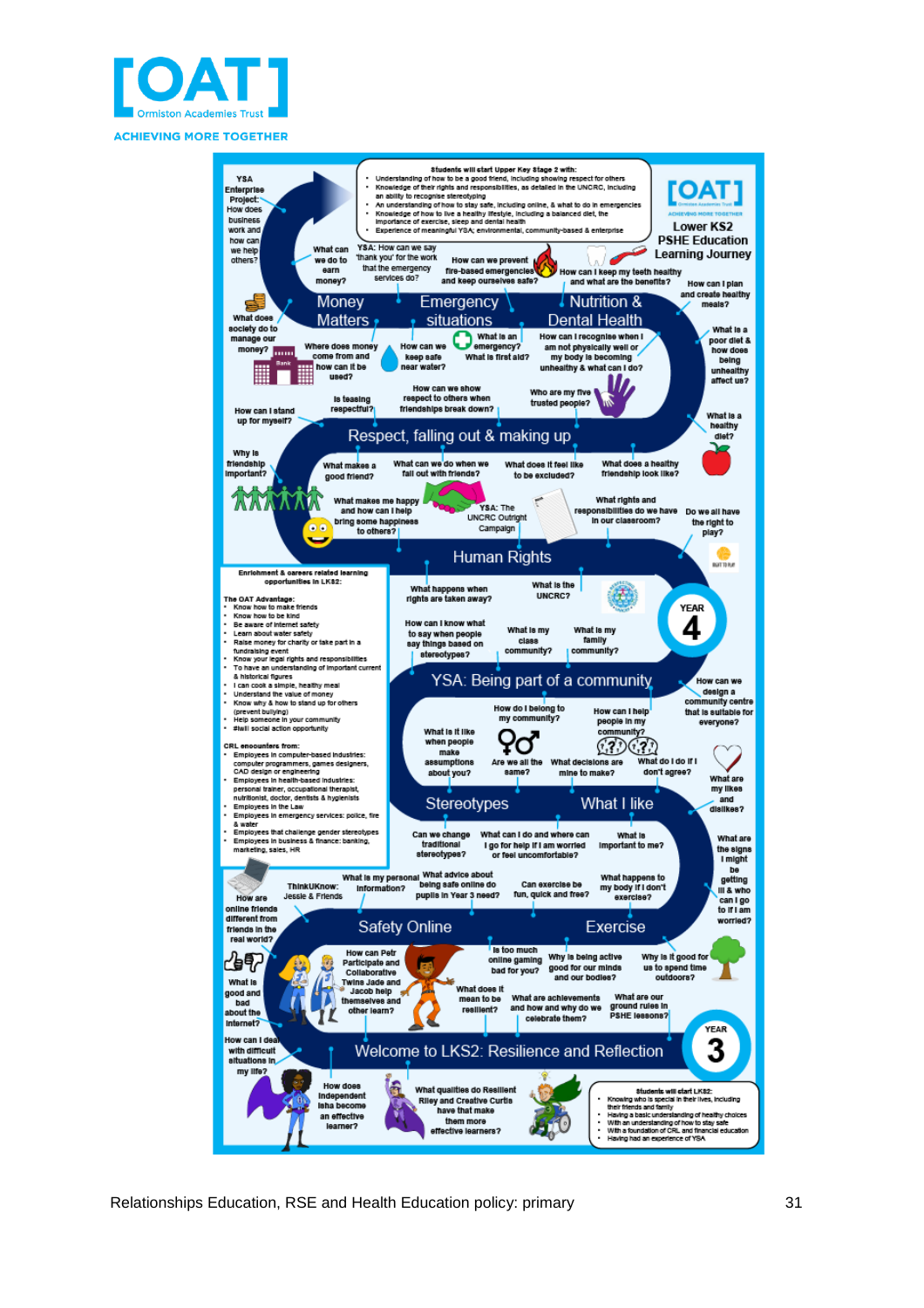